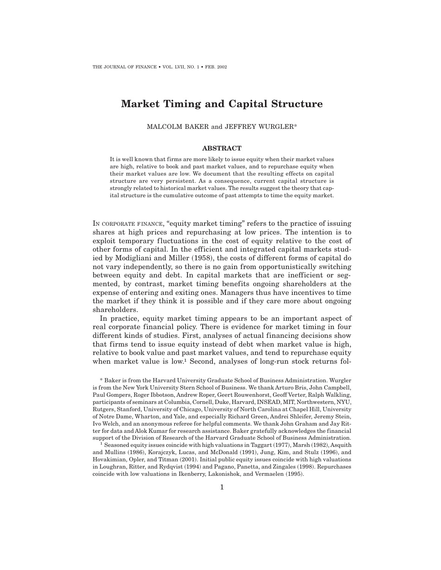# **Market Timing and Capital Structure**

MALCOLM BAKER and JEFFREY WURGLER\*

## **ABSTRACT**

It is well known that firms are more likely to issue equity when their market values are high, relative to book and past market values, and to repurchase equity when their market values are low. We document that the resulting effects on capital structure are very persistent. As a consequence, current capital structure is strongly related to historical market values. The results suggest the theory that capital structure is the cumulative outcome of past attempts to time the equity market.

IN CORPORATE FINANCE, "equity market timing" refers to the practice of issuing shares at high prices and repurchasing at low prices. The intention is to exploit temporary fluctuations in the cost of equity relative to the cost of other forms of capital. In the efficient and integrated capital markets studied by Modigliani and Miller (1958), the costs of different forms of capital do not vary independently, so there is no gain from opportunistically switching between equity and debt. In capital markets that are inefficient or segmented, by contrast, market timing benefits ongoing shareholders at the expense of entering and exiting ones. Managers thus have incentives to time the market if they think it is possible and if they care more about ongoing shareholders.

In practice, equity market timing appears to be an important aspect of real corporate financial policy. There is evidence for market timing in four different kinds of studies. First, analyses of actual financing decisions show that firms tend to issue equity instead of debt when market value is high, relative to book value and past market values, and tend to repurchase equity when market value is low.<sup>1</sup> Second, analyses of long-run stock returns fol-

\* Baker is from the Harvard University Graduate School of Business Administration. Wurgler is from the New York University Stern School of Business. We thank Arturo Bris, John Campbell, Paul Gompers, Roger Ibbotson, Andrew Roper, Geert Rouwenhorst, Geoff Verter, Ralph Walkling, participants of seminars at Columbia, Cornell, Duke, Harvard, INSEAD, MIT, Northwestern, NYU, Rutgers, Stanford, University of Chicago, University of North Carolina at Chapel Hill, University of Notre Dame, Wharton, and Yale, and especially Richard Green, Andrei Shleifer, Jeremy Stein, Ivo Welch, and an anonymous referee for helpful comments. We thank John Graham and Jay Ritter for data and Alok Kumar for research assistance. Baker gratefully acknowledges the financial support of the Division of Research of the Harvard Graduate School of Business Administration.

<sup>1</sup> Seasoned equity issues coincide with high valuations in Taggart  $(1977)$ , Marsh  $(1982)$ , Asquith and Mullins (1986), Korajczyk, Lucas, and McDonald (1991), Jung, Kim, and Stulz (1996), and Hovakimian, Opler, and Titman  $(2001)$ . Initial public equity issues coincide with high valuations in Loughran, Ritter, and Rydqvist (1994) and Pagano, Panetta, and Zingales (1998). Repurchases coincide with low valuations in Ikenberry, Lakonishok, and Vermaelen (1995).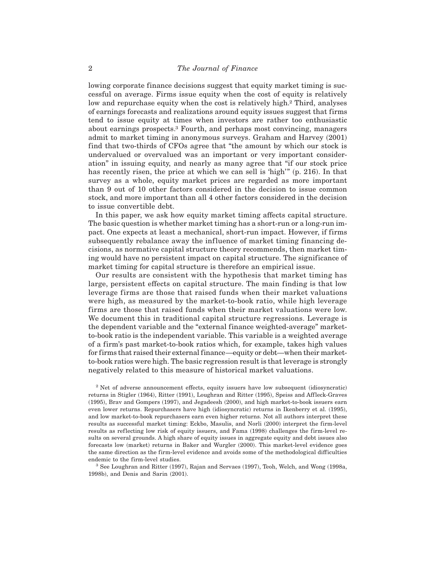lowing corporate finance decisions suggest that equity market timing is successful on average. Firms issue equity when the cost of equity is relatively low and repurchase equity when the cost is relatively high.2 Third, analyses of earnings forecasts and realizations around equity issues suggest that firms tend to issue equity at times when investors are rather too enthusiastic about earnings prospects.3 Fourth, and perhaps most convincing, managers admit to market timing in anonymous surveys. Graham and Harvey  $(2001)$ find that two-thirds of CFOs agree that "the amount by which our stock is undervalued or overvalued was an important or very important consideration" in issuing equity, and nearly as many agree that "if our stock price has recently risen, the price at which we can sell is 'high'"  $(p. 216)$ . In that survey as a whole, equity market prices are regarded as more important than 9 out of 10 other factors considered in the decision to issue common stock, and more important than all 4 other factors considered in the decision to issue convertible debt.

In this paper, we ask how equity market timing affects capital structure. The basic question is whether market timing has a short-run or a long-run impact. One expects at least a mechanical, short-run impact. However, if firms subsequently rebalance away the influence of market timing financing decisions, as normative capital structure theory recommends, then market timing would have no persistent impact on capital structure. The significance of market timing for capital structure is therefore an empirical issue.

Our results are consistent with the hypothesis that market timing has large, persistent effects on capital structure. The main finding is that low leverage firms are those that raised funds when their market valuations were high, as measured by the market-to-book ratio, while high leverage firms are those that raised funds when their market valuations were low. We document this in traditional capital structure regressions. Leverage is the dependent variable and the "external finance weighted-average" marketto-book ratio is the independent variable. This variable is a weighted average of a firm's past market-to-book ratios which, for example, takes high values for firms that raised their external finance—equity or debt—when their marketto-book ratios were high. The basic regression result is that leverage is strongly negatively related to this measure of historical market valuations.

 $2$  Net of adverse announcement effects, equity issuers have low subsequent (idiosyncratic) returns in Stigler (1964), Ritter (1991), Loughran and Ritter (1995), Speiss and Affleck-Graves (1995), Brav and Gompers (1997), and Jegadeesh (2000), and high market-to-book issuers earn even lower returns. Repurchasers have high (idiosyncratic) returns in Ikenberry et al. (1995), and low market-to-book repurchasers earn even higher returns. Not all authors interpret these results as successful market timing: Eckbo, Masulis, and Norli (2000) interpret the firm-level results as reflecting low risk of equity issuers, and Fama (1998) challenges the firm-level results on several grounds. A high share of equity issues in aggregate equity and debt issues also forecasts low (market) returns in Baker and Wurgler (2000). This market-level evidence goes the same direction as the firm-level evidence and avoids some of the methodological difficulties endemic to the firm-level studies.

 $3$  See Loughran and Ritter (1997), Rajan and Servaes (1997), Teoh, Welch, and Wong (1998a, 1998b), and Denis and Sarin (2001).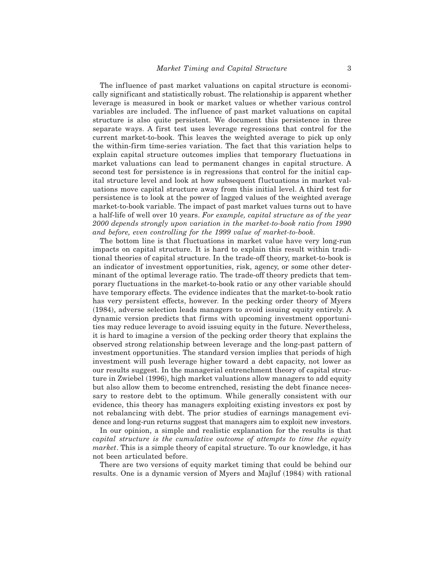The influence of past market valuations on capital structure is economically significant and statistically robust. The relationship is apparent whether leverage is measured in book or market values or whether various control variables are included. The influence of past market valuations on capital structure is also quite persistent. We document this persistence in three separate ways. A first test uses leverage regressions that control for the current market-to-book. This leaves the weighted average to pick up only the within-firm time-series variation. The fact that this variation helps to explain capital structure outcomes implies that temporary fluctuations in market valuations can lead to permanent changes in capital structure. A second test for persistence is in regressions that control for the initial capital structure level and look at how subsequent fluctuations in market valuations move capital structure away from this initial level. A third test for persistence is to look at the power of lagged values of the weighted average market-to-book variable. The impact of past market values turns out to have a half-life of well over 10 years. *For example, capital structure as of the year 2000 depends strongly upon variation in the market-to-book ratio from 1990 and before, even controlling for the 1999 value of market-to-book.*

The bottom line is that fluctuations in market value have very long-run impacts on capital structure. It is hard to explain this result within traditional theories of capital structure. In the trade-off theory, market-to-book is an indicator of investment opportunities, risk, agency, or some other determinant of the optimal leverage ratio. The trade-off theory predicts that temporary fluctuations in the market-to-book ratio or any other variable should have temporary effects. The evidence indicates that the market-to-book ratio has very persistent effects, however. In the pecking order theory of Myers  $(1984)$ , adverse selection leads managers to avoid issuing equity entirely. A dynamic version predicts that firms with upcoming investment opportunities may reduce leverage to avoid issuing equity in the future. Nevertheless, it is hard to imagine a version of the pecking order theory that explains the observed strong relationship between leverage and the long-past pattern of investment opportunities. The standard version implies that periods of high investment will push leverage higher toward a debt capacity, not lower as our results suggest. In the managerial entrenchment theory of capital structure in Zwiebel (1996), high market valuations allow managers to add equity but also allow them to become entrenched, resisting the debt finance necessary to restore debt to the optimum. While generally consistent with our evidence, this theory has managers exploiting existing investors ex post by not rebalancing with debt. The prior studies of earnings management evidence and long-run returns suggest that managers aim to exploit new investors.

In our opinion, a simple and realistic explanation for the results is that *capital structure is the cumulative outcome of attempts to time the equity market*. This is a simple theory of capital structure. To our knowledge, it has not been articulated before.

There are two versions of equity market timing that could be behind our results. One is a dynamic version of Myers and Majluf  $(1984)$  with rational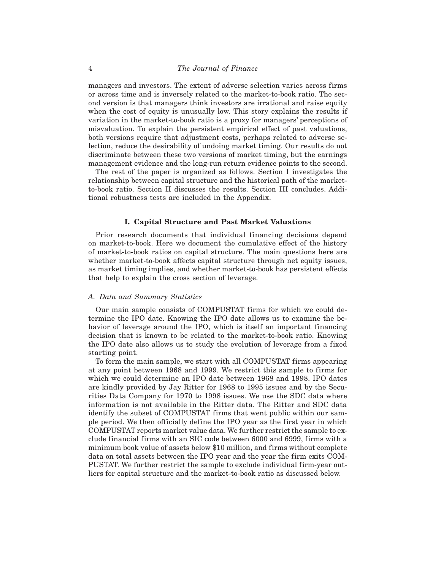managers and investors. The extent of adverse selection varies across firms or across time and is inversely related to the market-to-book ratio. The second version is that managers think investors are irrational and raise equity when the cost of equity is unusually low. This story explains the results if variation in the market-to-book ratio is a proxy for managers' perceptions of misvaluation. To explain the persistent empirical effect of past valuations, both versions require that adjustment costs, perhaps related to adverse selection, reduce the desirability of undoing market timing. Our results do not discriminate between these two versions of market timing, but the earnings management evidence and the long-run return evidence points to the second.

The rest of the paper is organized as follows. Section I investigates the relationship between capital structure and the historical path of the marketto-book ratio. Section II discusses the results. Section III concludes. Additional robustness tests are included in the Appendix.

## **I. Capital Structure and Past Market Valuations**

Prior research documents that individual financing decisions depend on market-to-book. Here we document the cumulative effect of the history of market-to-book ratios on capital structure. The main questions here are whether market-to-book affects capital structure through net equity issues, as market timing implies, and whether market-to-book has persistent effects that help to explain the cross section of leverage.

## *A. Data and Summary Statistics*

Our main sample consists of COMPUSTAT firms for which we could determine the IPO date. Knowing the IPO date allows us to examine the behavior of leverage around the IPO, which is itself an important financing decision that is known to be related to the market-to-book ratio. Knowing the IPO date also allows us to study the evolution of leverage from a fixed starting point.

To form the main sample, we start with all COMPUSTAT firms appearing at any point between 1968 and 1999. We restrict this sample to firms for which we could determine an IPO date between 1968 and 1998. IPO dates are kindly provided by Jay Ritter for 1968 to 1995 issues and by the Securities Data Company for 1970 to 1998 issues. We use the SDC data where information is not available in the Ritter data. The Ritter and SDC data identify the subset of COMPUSTAT firms that went public within our sample period. We then officially define the IPO year as the first year in which COMPUSTAT reports market value data. We further restrict the sample to exclude financial firms with an SIC code between 6000 and 6999, firms with a minimum book value of assets below \$10 million, and firms without complete data on total assets between the IPO year and the year the firm exits COM-PUSTAT. We further restrict the sample to exclude individual firm-year outliers for capital structure and the market-to-book ratio as discussed below.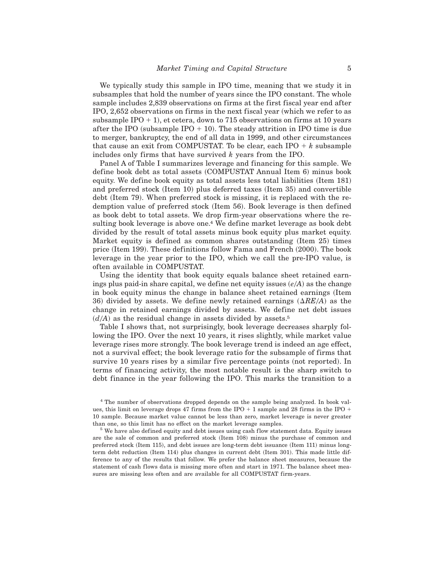We typically study this sample in IPO time, meaning that we study it in subsamples that hold the number of years since the IPO constant. The whole sample includes 2,839 observations on firms at the first fiscal year end after  $IPO, 2,652$  observations on firms in the next fiscal year (which we refer to as subsample IPO  $+$  1), et cetera, down to 715 observations on firms at 10 years after the IPO (subsample IPO  $+ 10$ ). The steady attrition in IPO time is due to merger, bankruptcy, the end of all data in 1999, and other circumstances that cause an exit from COMPUSTAT. To be clear, each IPO  $+ k$  subsample includes only firms that have survived *k* years from the IPO.

Panel A of Table I summarizes leverage and financing for this sample. We define book debt as total assets (COMPUSTAT Annual Item 6) minus book equity. We define book equity as total assets less total liabilities  $(Item 181)$ and preferred stock  $(Item 10)$  plus deferred taxes  $(Item 35)$  and convertible debt (Item 79). When preferred stock is missing, it is replaced with the redemption value of preferred stock (Item 56). Book leverage is then defined as book debt to total assets. We drop firm-year observations where the resulting book leverage is above one.4 We define market leverage as book debt divided by the result of total assets minus book equity plus market equity. Market equity is defined as common shares outstanding  $(Item 25)$  times price (Item 199). These definitions follow Fama and French  $(2000)$ . The book leverage in the year prior to the IPO, which we call the pre-IPO value, is often available in COMPUSTAT.

Using the identity that book equity equals balance sheet retained earnings plus paid-in share capital, we define net equity issues  $(e/A)$  as the change in book equity minus the change in balance sheet retained earnings (Item 36) divided by assets. We define newly retained earnings  $(\Delta R E/A)$  as the change in retained earnings divided by assets. We define net debt issues  $(d/A)$  as the residual change in assets divided by assets.<sup>5</sup>

Table I shows that, not surprisingly, book leverage decreases sharply following the IPO. Over the next 10 years, it rises slightly, while market value leverage rises more strongly. The book leverage trend is indeed an age effect, not a survival effect; the book leverage ratio for the subsample of firms that survive  $10$  years rises by a similar five percentage points (not reported). In terms of financing activity, the most notable result is the sharp switch to debt finance in the year following the IPO. This marks the transition to a

<sup>4</sup> The number of observations dropped depends on the sample being analyzed. In book values, this limit on leverage drops 47 firms from the IPO  $+$  1 sample and 28 firms in the IPO  $+$ 10 sample. Because market value cannot be less than zero, market leverage is never greater than one, so this limit has no effect on the market leverage samples.

<sup>5</sup> We have also defined equity and debt issues using cash flow statement data. Equity issues are the sale of common and preferred stock (Item 108) minus the purchase of common and preferred stock (Item 115), and debt issues are long-term debt issuance (Item 111) minus longterm debt reduction  $(Item 114)$  plus changes in current debt  $(Item 301)$ . This made little difference to any of the results that follow. We prefer the balance sheet measures, because the statement of cash flows data is missing more often and start in 1971. The balance sheet measures are missing less often and are available for all COMPUSTAT firm-years.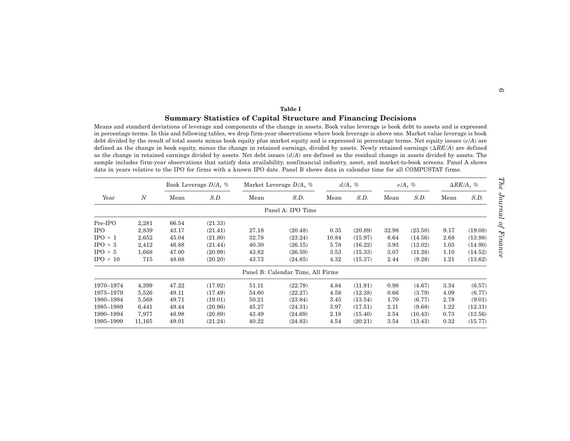## **Table ISummary Statistics of Capital Structure and Financing Decisions**

Means and standard deviations of leverage and components of the change in assets. Book value leverage is book debt to assets and is expressed in percentage terms. In this and following tables, we drop firm-year observations where book leverage is above one. Market value leverage is book debt divided by the result of total assets minus book equity plus market equity and is expressed in percentage terms. Net equity issues  $(e/A)$  are defined as the change in book equity, minus the change in retained earnings, divided by assets. Newly retained earnings  $(\Delta RE/A)$  are defined as the change in retained earnings divided by assets. Net debt issues  $(d/A)$  are defined as the residual change in assets divided by assets. The sample includes firm-year observations that satisfy data availability, nonfinancial industry, asset, and market-to-book screens. Panel A shows data in years relative to the IPO for firms with <sup>a</sup> known IPO date. Panel B shows data in calendar time for all COMPUSTAT firms.

|            |        | Book Leverage $D/A$ , % |         |       | Market Leverage $D/A$ , %         |       | $d/A$ , % |       | $e/A$ , % | $\Delta RE/A$ , % |         |
|------------|--------|-------------------------|---------|-------|-----------------------------------|-------|-----------|-------|-----------|-------------------|---------|
| Year       | N      | Mean                    | S.D.    | Mean  | S.D.                              | Mean  | S.D.      | Mean  | S.D.      | Mean              | S.D.    |
|            |        |                         |         |       | Panel A: IPO Time                 |       |           |       |           |                   |         |
| Pre-IPO    | 2,281  | 66.54                   | (21.33) |       |                                   |       |           |       |           |                   |         |
| <b>IPO</b> | 2,839  | 43.17                   | (21.41) | 27.18 | (20.48)                           | 0.35  | (20.89)   | 32.98 | (23.50)   | 9.17              | (19.08) |
| $IPO + 1$  | 2,652  | 45.04                   | (21.80) | 32.78 | (23.24)                           | 10.84 | (15.97)   | 6.64  | (14.56)   | 2.68              | (13.98) |
| $IPO + 3$  | 2,412  | 46.88                   | (21.44) | 40.30 | (26.15)                           | 5.78  | (16.22)   | 3.93  | (13.02)   | 1.03              | (14.90) |
| $IPO + 5$  | 1,668  | 47.00                   | (20.99) | 43.82 | (26.59)                           | 3.53  | (15.33)   | 3.07  | (11.28)   | 1.10              | (14.52) |
| $IPO + 10$ | 715    | 48.68                   | (20.20) | 43.73 | (24.85)                           | 4.32  | (15.37)   | 2.44  | (9.28)    | 1.21              | (13.62) |
|            |        |                         |         |       | Panel B: Calendar Time, All Firms |       |           |       |           |                   |         |
| 1970–1974  | 4,399  | 47.22                   | (17.92) | 51.11 | (22.79)                           | 4.84  | (11.91)   | 0.98  | (4.67)    | 3.34              | (6.57)  |
| 1975–1979  | 5,526  | 49.11                   | (17.49) | 54.60 | (22.27)                           | 4.58  | (12.38)   | 0.66  | (3.79)    | 4.09              | (6.77)  |
| 1980-1984  | 5,568  | 49.71                   | (19.01) | 50.21 | (23.84)                           | 3.45  | (13.54)   | 1.70  | (6.77)    | 2.78              | (9.01)  |
| 1985-1989  | 6,441  | 49.44                   | (20.96) | 45.27 | (24.31)                           | 3.97  | (17.51)   | 2.11  | (9.68)    | 1.22              | (12.31) |
| 1990-1994  | 7,977  | 48.98                   | (20.89) | 43.49 | (24.69)                           | 2.18  | (15.40)   | 2.54  | (10.43)   | 0.73              | (13.56) |
| 1995-1999  | 11,165 | 49.01                   | (21.24) | 40.22 | (24.83)                           | 4.54  | (20.21)   | 3.54  | (13.43)   | 0.32              | (15.77) |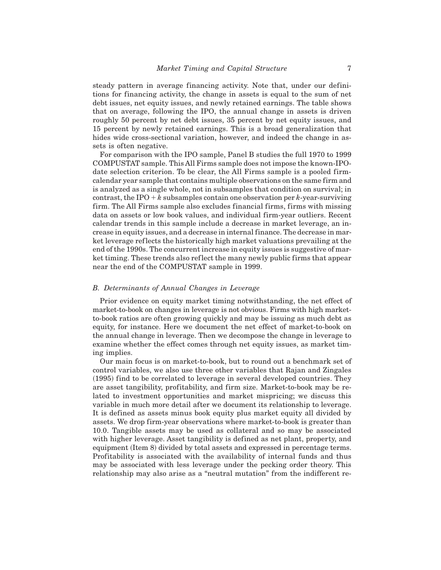steady pattern in average financing activity. Note that, under our definitions for financing activity, the change in assets is equal to the sum of net debt issues, net equity issues, and newly retained earnings. The table shows that on average, following the IPO, the annual change in assets is driven roughly 50 percent by net debt issues, 35 percent by net equity issues, and 15 percent by newly retained earnings. This is a broad generalization that hides wide cross-sectional variation, however, and indeed the change in assets is often negative.

For comparison with the IPO sample, Panel B studies the full 1970 to 1999 COMPUSTAT sample. This All Firms sample does not impose the known-IPOdate selection criterion. To be clear, the All Firms sample is a pooled firmcalendar year sample that contains multiple observations on the same firm and is analyzed as a single whole, not in subsamples that condition on survival; in contrast, the IPO  $+k$  subsamples contain one observation per  $k$ -year-surviving firm. The All Firms sample also excludes financial firms, firms with missing data on assets or low book values, and individual firm-year outliers. Recent calendar trends in this sample include a decrease in market leverage, an increase in equity issues, and a decrease in internal finance. The decrease in market leverage reflects the historically high market valuations prevailing at the end of the 1990s. The concurrent increase in equity issues is suggestive of market timing. These trends also reflect the many newly public firms that appear near the end of the COMPUSTAT sample in 1999.

## *B. Determinants of Annual Changes in Leverage*

Prior evidence on equity market timing notwithstanding, the net effect of market-to-book on changes in leverage is not obvious. Firms with high marketto-book ratios are often growing quickly and may be issuing as much debt as equity, for instance. Here we document the net effect of market-to-book on the annual change in leverage. Then we decompose the change in leverage to examine whether the effect comes through net equity issues, as market timing implies.

Our main focus is on market-to-book, but to round out a benchmark set of control variables, we also use three other variables that Rajan and Zingales  $(1995)$  find to be correlated to leverage in several developed countries. They are asset tangibility, profitability, and firm size. Market-to-book may be related to investment opportunities and market mispricing; we discuss this variable in much more detail after we document its relationship to leverage. It is defined as assets minus book equity plus market equity all divided by assets. We drop firm-year observations where market-to-book is greater than 10.0. Tangible assets may be used as collateral and so may be associated with higher leverage. Asset tangibility is defined as net plant, property, and equipment (Item 8) divided by total assets and expressed in percentage terms. Profitability is associated with the availability of internal funds and thus may be associated with less leverage under the pecking order theory. This relationship may also arise as a "neutral mutation" from the indifferent re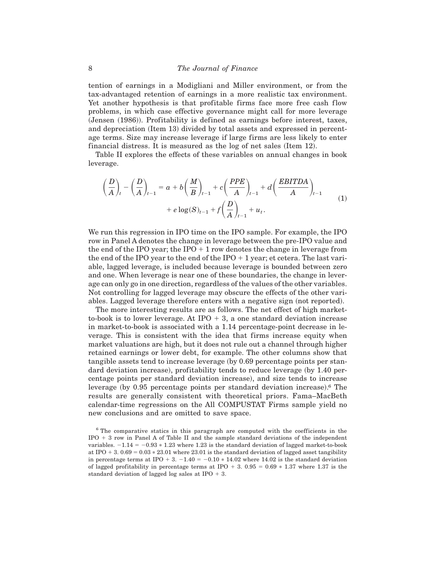tention of earnings in a Modigliani and Miller environment, or from the tax-advantaged retention of earnings in a more realistic tax environment. Yet another hypothesis is that profitable firms face more free cash flow problems, in which case effective governance might call for more leverage  $(Jensen (1986)).$  Profitability is defined as earnings before interest, taxes, and depreciation (Item 13) divided by total assets and expressed in percentage terms. Size may increase leverage if large firms are less likely to enter financial distress. It is measured as the  $log of net sales$  (Item 12).

Table II explores the effects of these variables on annual changes in book leverage.

$$
\left(\frac{D}{A}\right)_t - \left(\frac{D}{A}\right)_{t-1} = a + b\left(\frac{M}{B}\right)_{t-1} + c\left(\frac{PPE}{A}\right)_{t-1} + d\left(\frac{EBITDA}{A}\right)_{t-1}
$$

$$
+ e\log(S)_{t-1} + f\left(\frac{D}{A}\right)_{t-1} + u_t.
$$
 (1)

We run this regression in IPO time on the IPO sample. For example, the IPO row in Panel A denotes the change in leverage between the pre-IPO value and the end of the IPO year; the IPO  $+1$  row denotes the change in leverage from the end of the IPO year to the end of the IPO  $+1$  year; et cetera. The last variable, lagged leverage, is included because leverage is bounded between zero and one. When leverage is near one of these boundaries, the change in leverage can only go in one direction, regardless of the values of the other variables. Not controlling for lagged leverage may obscure the effects of the other variables. Lagged leverage therefore enters with a negative sign (not reported).

The more interesting results are as follows. The net effect of high marketto-book is to lower leverage. At IPO  $+$  3, a one standard deviation increase in market-to-book is associated with a 1.14 percentage-point decrease in leverage. This is consistent with the idea that firms increase equity when market valuations are high, but it does not rule out a channel through higher retained earnings or lower debt, for example. The other columns show that tangible assets tend to increase leverage  $(by 0.69$  percentage points per standard deviation increase), profitability tends to reduce leverage (by  $1.40$  percentage points per standard deviation increase), and size tends to increase leverage (by 0.95 percentage points per standard deviation increase).<sup>6</sup> The results are generally consistent with theoretical priors. Fama–MacBeth calendar-time regressions on the All COMPUSTAT Firms sample yield no new conclusions and are omitted to save space.

<sup>&</sup>lt;sup>6</sup> The comparative statics in this paragraph are computed with the coefficients in the  $IPO + 3$  row in Panel A of Table II and the sample standard deviations of the independent variables.  $-1.14 = -0.93 * 1.23$  where 1.23 is the standard deviation of lagged market-to-book at IPO  $+ 3.0.69 = 0.03 * 23.01$  where 23.01 is the standard deviation of lagged asset tangibility in percentage terms at IPO  $+ 3. -1.40 = -0.10 * 14.02$  where 14.02 is the standard deviation of lagged profitability in percentage terms at IPO  $+$  3. 0.95 = 0.69  $*$  1.37 where 1.37 is the standard deviation of lagged log sales at IPO  $+3$ .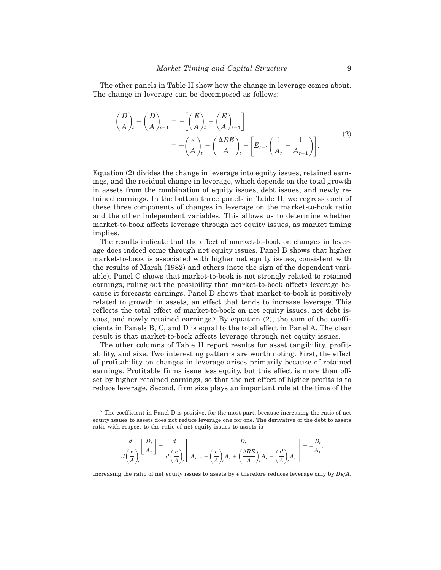The other panels in Table II show how the change in leverage comes about. The change in leverage can be decomposed as follows:

$$
\left(\frac{D}{A}\right)_t - \left(\frac{D}{A}\right)_{t-1} = -\left[\left(\frac{E}{A}\right)_t - \left(\frac{E}{A}\right)_{t-1}\right]
$$
\n
$$
= -\left(\frac{e}{A}\right)_t - \left(\frac{\Delta RE}{A}\right)_t - \left[E_{t-1}\left(\frac{1}{A_t} - \frac{1}{A_{t-1}}\right)\right].
$$
\n(2)

Equation  $(2)$  divides the change in leverage into equity issues, retained earnings, and the residual change in leverage, which depends on the total growth in assets from the combination of equity issues, debt issues, and newly retained earnings. In the bottom three panels in Table II, we regress each of these three components of changes in leverage on the market-to-book ratio and the other independent variables. This allows us to determine whether market-to-book affects leverage through net equity issues, as market timing implies.

The results indicate that the effect of market-to-book on changes in leverage does indeed come through net equity issues. Panel B shows that higher market-to-book is associated with higher net equity issues, consistent with the results of Marsh  $(1982)$  and others (note the sign of the dependent variable). Panel C shows that market-to-book is not strongly related to retained earnings, ruling out the possibility that market-to-book affects leverage because it forecasts earnings. Panel D shows that market-to-book is positively related to growth in assets, an effect that tends to increase leverage. This reflects the total effect of market-to-book on net equity issues, net debt issues, and newly retained earnings.<sup>7</sup> By equation  $(2)$ , the sum of the coefficients in Panels B, C, and D is equal to the total effect in Panel A. The clear result is that market-to-book affects leverage through net equity issues.

The other columns of Table II report results for asset tangibility, profitability, and size. Two interesting patterns are worth noting. First, the effect of profitability on changes in leverage arises primarily because of retained earnings. Profitable firms issue less equity, but this effect is more than offset by higher retained earnings, so that the net effect of higher profits is to reduce leverage. Second, firm size plays an important role at the time of the

<sup>7</sup> The coefficient in Panel D is positive, for the most part, because increasing the ratio of net equity issues to assets does not reduce leverage one for one. The derivative of the debt to assets ratio with respect to the ratio of net equity issues to assets is

$$
\frac{d}{d\left(\frac{e}{A}\right)_t}\Bigg[\frac{D_t}{A_t}\Bigg]=\frac{d}{d\left(\frac{e}{A}\right)_t}\Bigg[\frac{D_t}{A_{t-1}+\left(\frac{e}{A}\right)_tA_t+\left(\frac{\Delta RE}{A}\right)_tA_t+\left(\frac{d}{A}\right)_tA_t}\Bigg]=- \frac{D_t}{A_t}.
$$

Increasing the ratio of net equity issues to assets by  $\epsilon$  therefore reduces leverage only by  $D\epsilon/A$ .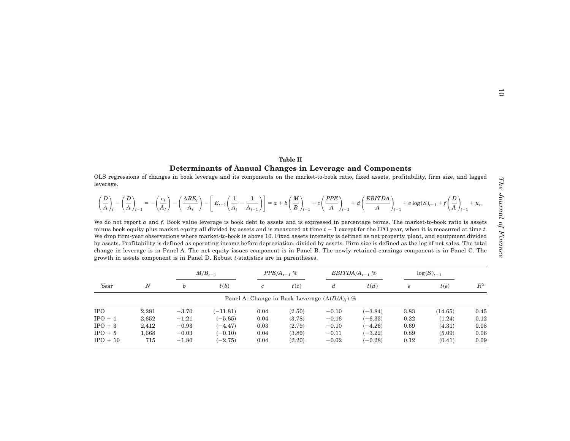# **Table II**

## **Determinants of Annual Changes in Leverage and Components**

OLS regressions of changes in book leverage and its components on the market-to-book ratio, fixed assets, profitability, firm size, and lagged leverage.

$$
\left(\frac{D}{A}\right)_t-\left(\frac{D}{A}\right)_{t-1}=-\left(\frac{e_t}{A_t}\right)-\left(\frac{\Delta RE_t}{A_t}\right)-\left[E_{t-1}\left(\frac{1}{A_t}-\frac{1}{A_{t-1}}\right)\right]=a+b\left(\frac{M}{B}\right)_{t-1}+c\left(\frac{PPE}{A}\right)_{t-1}+d\left(\frac{EBITDA}{A}\right)_{t-1}+e\log(S)_{t-1}+f\left(\frac{D}{A}\right)_{t-1}+u_t.
$$

We do not report *a* and *f*. Book value leverage is book debt to assets and is expressed in percentage terms. The market-to-book ratio is assets minus book equity plus market equity all divided by assets and is measured at time  $t - 1$  except for the IPO year, when it is measured at time  $t$ . We drop firm-year observations where market-to-book is above 10. Fixed assets intensity is defined as net property, plant, and equipment divided by assets. Profitability is defined as operating income before depreciation, divided by assets. Firm size is defined as the log of net sales. The total change in leverage is in Panel A. The net equity issues component is in Panel B. The newly retained earnings component is in Panel C. The growth in assets component is in Panel D. Robust *<sup>t</sup>*-statistics are in parentheses.

|            |       | $M/B_{t-1}$ |            | $PPE/A_{t-1}$ % |        | $EBITDA/A_{t-1}$ %                                   |           | $log(S)_{t-1}$   |         |       |  |
|------------|-------|-------------|------------|-----------------|--------|------------------------------------------------------|-----------|------------------|---------|-------|--|
| Year       | Ν     | b           | t(b)       | $\mathfrak{c}$  | t(c)   | d                                                    | t(d)      | $\boldsymbol{e}$ | t(e)    | $R^2$ |  |
|            |       |             |            |                 |        | Panel A: Change in Book Leverage $(\Delta(D/A)_t)$ % |           |                  |         |       |  |
| <b>IPO</b> | 2.281 | $-3.70$     | $(-11.81)$ | 0.04            | (2.50) | $-0.10$                                              | $(-3.84)$ | 3.83             | (14.65) | 0.45  |  |
| $IPO + 1$  | 2.652 | $-1.21$     | $-5.65$    | 0.04            | (3.78) | $-0.16$                                              | $(-6.33)$ | 0.22             | (1.24)  | 0.12  |  |
| $IPO + 3$  | 2,412 | $-0.93$     | $(-4.47)$  | 0.03            | (2.79) | $-0.10$                                              | $(-4.26)$ | 0.69             | (4.31)  | 0.08  |  |
| $IPO + 5$  | 1,668 | $-0.03$     | $(-0.10)$  | 0.04            | (3.89) | $-0.11$                                              | $(-3.22)$ | 0.89             | (5.09)  | 0.06  |  |
| $IPO + 10$ | 715   | $-1.80$     | $(-2.75)$  | 0.04            | (2.20) | $-0.02$                                              | $(-0.28)$ | 0.12             | (0.41)  | 0.09  |  |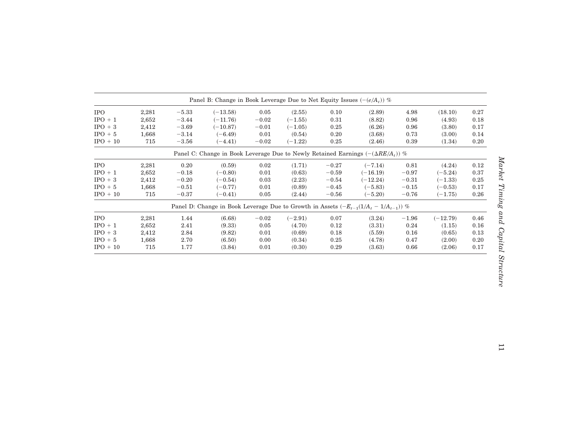|            |       |         | Panel B: Change in Book Leverage Due to Net Equity Issues $(-(e/A_{\tau}))$ %                |         |           |         |            |         |            |      |
|------------|-------|---------|----------------------------------------------------------------------------------------------|---------|-----------|---------|------------|---------|------------|------|
| <b>IPO</b> | 2,281 | $-5.33$ | $(-13.58)$                                                                                   | 0.05    | (2.55)    | 0.10    | (2.89)     | 4.98    | (18.10)    | 0.27 |
| $IPO + 1$  | 2,652 | $-3.44$ | $(-11.76)$                                                                                   | $-0.02$ | $(-1.55)$ | 0.31    | (8.82)     | 0.96    | (4.93)     | 0.18 |
| $IPO + 3$  | 2,412 | $-3.69$ | $(-10.87)$                                                                                   | $-0.01$ | $(-1.05)$ | 0.25    | (6.26)     | 0.96    | (3.80)     | 0.17 |
| $IPO + 5$  | 1,668 | $-3.14$ | $(-6.49)$                                                                                    | 0.01    | (0.54)    | 0.20    | (3.68)     | 0.73    | (3.00)     | 0.14 |
| $IPO + 10$ | 715   | $-3.56$ | $(-4.41)$                                                                                    | $-0.02$ | $(-1.22)$ | 0.25    | (2.46)     | 0.39    | (1.34)     | 0.20 |
|            |       |         | Panel C: Change in Book Leverage Due to Newly Retained Earnings $(-(\Delta RE/A_1))^{\circ}$ |         |           |         |            |         |            |      |
| <b>IPO</b> | 2,281 | 0.20    | (0.59)                                                                                       | 0.02    | (1.71)    | $-0.27$ | $(-7.14)$  | 0.81    | (4.24)     | 0.12 |
| $IPO + 1$  | 2,652 | $-0.18$ | $(-0.80)$                                                                                    | 0.01    | (0.63)    | $-0.59$ | $(-16.19)$ | $-0.97$ | $(-5.24)$  | 0.37 |
| $IPO + 3$  | 2,412 | $-0.20$ | $(-0.54)$                                                                                    | 0.03    | (2.23)    | $-0.54$ | $(-12.24)$ | $-0.31$ | $(-1.33)$  | 0.25 |
| $IPO + 5$  | 1,668 | $-0.51$ | $(-0.77)$                                                                                    | 0.01    | (0.89)    | $-0.45$ | $(-5.83)$  | $-0.15$ | $(-0.53)$  | 0.17 |
| $IPO + 10$ | 715   | $-0.37$ | $(-0.41)$                                                                                    | 0.05    | (2.44)    | $-0.56$ | $(-5.20)$  | $-0.76$ | $(-1.75)$  | 0.26 |
|            |       |         | Panel D: Change in Book Leverage Due to Growth in Assets $(-E_{t-1}(1/A_t - 1/A_{t-1}))$ %   |         |           |         |            |         |            |      |
| <b>IPO</b> | 2,281 | 1.44    | (6.68)                                                                                       | $-0.02$ | $(-2.91)$ | 0.07    | (3.24)     | $-1.96$ | $(-12.79)$ | 0.46 |
| $IPO + 1$  | 2,652 | 2.41    | (9.33)                                                                                       | 0.05    | (4.70)    | 0.12    | (3.31)     | 0.24    | (1.15)     | 0.16 |
| $IPO + 3$  | 2,412 | 2.84    | (9.82)                                                                                       | 0.01    | (0.69)    | 0.18    | (5.59)     | 0.16    | (0.65)     | 0.13 |
| $IPO + 5$  | 1,668 | 2.70    | (6.50)                                                                                       | 0.00    | (0.34)    | 0.25    | (4.78)     | 0.47    | (2.00)     | 0.20 |
| $IPO + 10$ | 715   | 1.77    | (3.84)                                                                                       | 0.01    | (0.30)    | 0.29    | (3.63)     | 0.66    | (2.06)     | 0.17 |

Market Timing and Capital Structure *Market Timing and Capital Structure*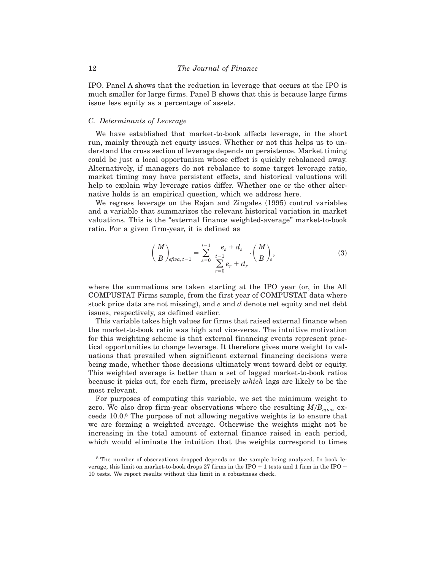IPO. Panel A shows that the reduction in leverage that occurs at the IPO is much smaller for large firms. Panel B shows that this is because large firms issue less equity as a percentage of assets.

### *C. Determinants of Leverage*

We have established that market-to-book affects leverage, in the short run, mainly through net equity issues. Whether or not this helps us to understand the cross section of leverage depends on persistence. Market timing could be just a local opportunism whose effect is quickly rebalanced away. Alternatively, if managers do not rebalance to some target leverage ratio, market timing may have persistent effects, and historical valuations will help to explain why leverage ratios differ. Whether one or the other alternative holds is an empirical question, which we address here.

We regress leverage on the Rajan and Zingales (1995) control variables and a variable that summarizes the relevant historical variation in market valuations. This is the "external finance weighted-average" market-to-book ratio. For a given firm-year, it is defined as

$$
\left(\frac{M}{B}\right)_{e\text{fwa}, t-1} = \sum_{s=0}^{t-1} \frac{e_s + d_s}{\sum_{r=0}^{t-1} e_r + d_r} \cdot \left(\frac{M}{B}\right)_s, \tag{3}
$$

where the summations are taken starting at the IPO year (or, in the All COMPUSTAT Firms sample, from the first year of COMPUSTAT data where stock price data are not missing), and *e* and *d* denote net equity and net debt issues, respectively, as defined earlier.

This variable takes high values for firms that raised external finance when the market-to-book ratio was high and vice-versa. The intuitive motivation for this weighting scheme is that external financing events represent practical opportunities to change leverage. It therefore gives more weight to valuations that prevailed when significant external financing decisions were being made, whether those decisions ultimately went toward debt or equity. This weighted average is better than a set of lagged market-to-book ratios because it picks out, for each firm, precisely *which* lags are likely to be the most relevant.

For purposes of computing this variable, we set the minimum weight to zero. We also drop firm-year observations where the resulting  $M/B_{efwa}$  exceeds 10.0.8 The purpose of not allowing negative weights is to ensure that we are forming a weighted average. Otherwise the weights might not be increasing in the total amount of external finance raised in each period, which would eliminate the intuition that the weights correspond to times

<sup>&</sup>lt;sup>8</sup> The number of observations dropped depends on the sample being analyzed. In book leverage, this limit on market-to-book drops 27 firms in the IPO  $+$  1 tests and 1 firm in the IPO  $+$ 10 tests. We report results without this limit in a robustness check.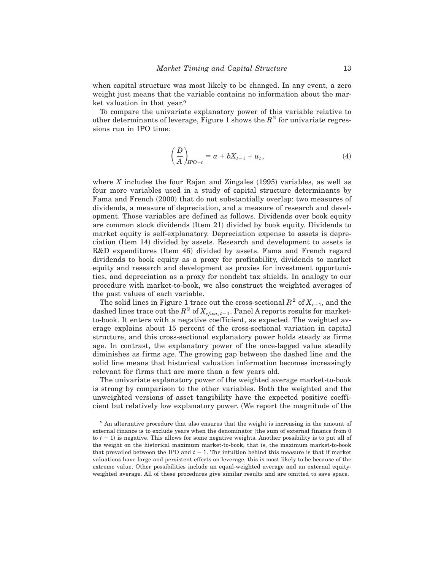when capital structure was most likely to be changed. In any event, a zero weight just means that the variable contains no information about the market valuation in that year.9

To compare the univariate explanatory power of this variable relative to other determinants of leverage, Figure 1 shows the  $R^2$  for univariate regressions run in IPO time:

$$
\left(\frac{D}{A}\right)_{IPO+t} = a + bX_{t-1} + u_t,\tag{4}
$$

where  $X$  includes the four Rajan and Zingales  $(1995)$  variables, as well as four more variables used in a study of capital structure determinants by Fama and French (2000) that do not substantially overlap: two measures of dividends, a measure of depreciation, and a measure of research and development. Those variables are defined as follows. Dividends over book equity are common stock dividends (Item 21) divided by book equity. Dividends to market equity is self-explanatory. Depreciation expense to assets is depreciation (Item 14) divided by assets. Research and development to assets is  $R&D$  expenditures (Item 46) divided by assets. Fama and French regard dividends to book equity as a proxy for profitability, dividends to market equity and research and development as proxies for investment opportunities, and depreciation as a proxy for nondebt tax shields. In analogy to our procedure with market-to-book, we also construct the weighted averages of the past values of each variable.

The solid lines in Figure 1 trace out the cross-sectional  $R^2$  of  $X_{t-1}$ , and the dashed lines trace out the  $R^2$  of  $X_{e\text{fwa}, t-1}$ . Panel A reports results for marketto-book. It enters with a negative coefficient, as expected. The weighted average explains about 15 percent of the cross-sectional variation in capital structure, and this cross-sectional explanatory power holds steady as firms age. In contrast, the explanatory power of the once-lagged value steadily diminishes as firms age. The growing gap between the dashed line and the solid line means that historical valuation information becomes increasingly relevant for firms that are more than a few years old.

The univariate explanatory power of the weighted average market-to-book is strong by comparison to the other variables. Both the weighted and the unweighted versions of asset tangibility have the expected positive coefficient but relatively low explanatory power. (We report the magnitude of the

<sup>9</sup> An alternative procedure that also ensures that the weight is increasing in the amount of external finance is to exclude years when the denominator (the sum of external finance from  $0$ to  $t - 1$  is negative. This allows for some negative weights. Another possibility is to put all of the weight on the historical maximum market-to-book, that is, the maximum market-to-book that prevailed between the IPO and  $t-1$ . The intuition behind this measure is that if market valuations have large and persistent effects on leverage, this is most likely to be because of the extreme value. Other possibilities include an equal-weighted average and an external equityweighted average. All of these procedures give similar results and are omitted to save space.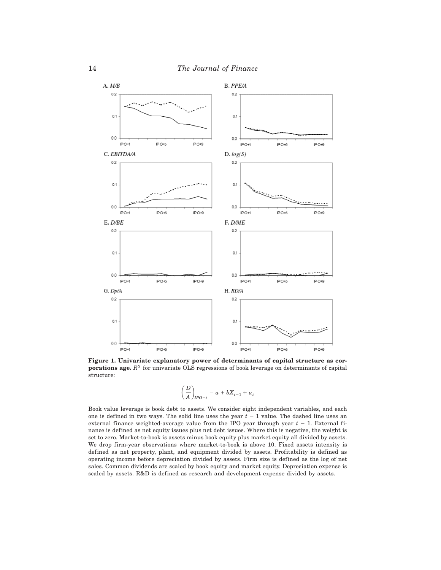

**Figure 1. Univariate explanatory power of determinants of capital structure as corporations age.** *R*<sup>2</sup> for univariate OLS regressions of book leverage on determinants of capital structure:

$$
\left(\frac{D}{A}\right)_{\!I\!P O + t} = a + bX_{t-1} + u_t
$$

Book value leverage is book debt to assets. We consider eight independent variables, and each one is defined in two ways. The solid line uses the year  $t-1$  value. The dashed line uses an external finance weighted-average value from the IPO year through year  $t - 1$ . External finance is defined as net equity issues plus net debt issues. Where this is negative, the weight is set to zero. Market-to-book is assets minus book equity plus market equity all divided by assets. We drop firm-year observations where market-to-book is above 10. Fixed assets intensity is defined as net property, plant, and equipment divided by assets. Profitability is defined as operating income before depreciation divided by assets. Firm size is defined as the log of net sales. Common dividends are scaled by book equity and market equity. Depreciation expense is scaled by assets. R&D is defined as research and development expense divided by assets.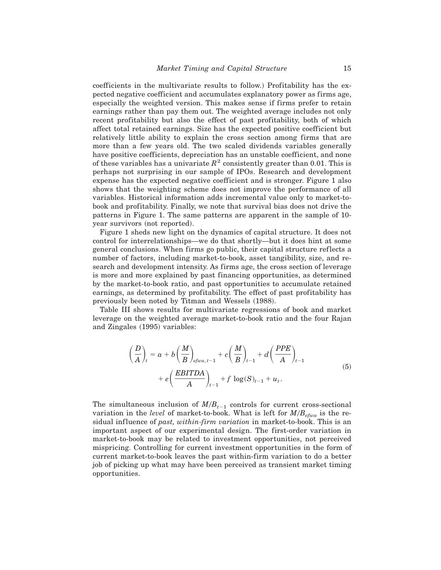coefficients in the multivariate results to follow.! Profitability has the expected negative coefficient and accumulates explanatory power as firms age, especially the weighted version. This makes sense if firms prefer to retain earnings rather than pay them out. The weighted average includes not only recent profitability but also the effect of past profitability, both of which affect total retained earnings. Size has the expected positive coefficient but relatively little ability to explain the cross section among firms that are more than a few years old. The two scaled dividends variables generally have positive coefficients, depreciation has an unstable coefficient, and none of these variables has a univariate  $R^2$  consistently greater than 0.01. This is perhaps not surprising in our sample of IPOs. Research and development expense has the expected negative coefficient and is stronger. Figure 1 also shows that the weighting scheme does not improve the performance of all variables. Historical information adds incremental value only to market-tobook and profitability. Finally, we note that survival bias does not drive the patterns in Figure 1. The same patterns are apparent in the sample of 10 year survivors (not reported).

Figure 1 sheds new light on the dynamics of capital structure. It does not control for interrelationships—we do that shortly—but it does hint at some general conclusions. When firms go public, their capital structure reflects a number of factors, including market-to-book, asset tangibility, size, and research and development intensity. As firms age, the cross section of leverage is more and more explained by past financing opportunities, as determined by the market-to-book ratio, and past opportunities to accumulate retained earnings, as determined by profitability. The effect of past profitability has previously been noted by Titman and Wessels (1988).

Table III shows results for multivariate regressions of book and market leverage on the weighted average market-to-book ratio and the four Rajan and Zingales (1995) variables:

$$
\left(\frac{D}{A}\right)_t = a + b\left(\frac{M}{B}\right)_{e\text{fwa}, t-1} + c\left(\frac{M}{B}\right)_{t-1} + d\left(\frac{PPE}{A}\right)_{t-1}
$$
  
+  $e\left(\frac{EBITDA}{A}\right)_{t-1} + f\log(S)_{t-1} + u_t.$  (5)

The simultaneous inclusion of  $M/B_{t-1}$  controls for current cross-sectional variation in the *level* of market-to-book. What is left for  $M/B_{efwa}$  is the residual influence of *past, within-firm variation* in market-to-book. This is an important aspect of our experimental design. The first-order variation in market-to-book may be related to investment opportunities, not perceived mispricing. Controlling for current investment opportunities in the form of current market-to-book leaves the past within-firm variation to do a better job of picking up what may have been perceived as transient market timing opportunities.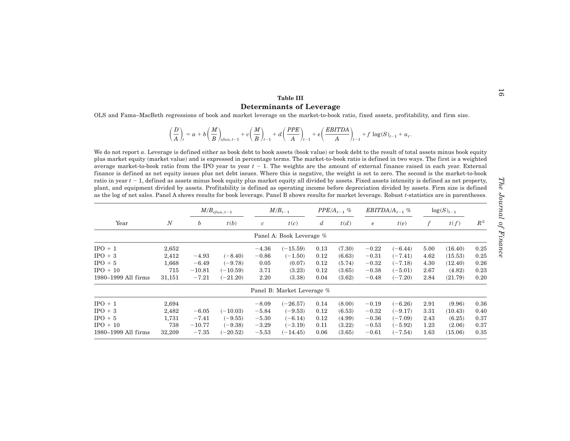# **Table III**

## **Determinants of Leverage**

OLS and Fama–MacBeth regressions of book and market leverage on the market-to-book ratio, fixed assets, profitability, and firm size.

$$
\left(\frac{D}{A}\right)_t = a + b\bigg(\frac{M}{B}\bigg)_{e\text{fwa},\,t-1} + c\bigg(\frac{M}{B}\bigg)_{t-1} + d\bigg(\frac{PPE}{A}\bigg)_{t-1} + e\bigg(\frac{EBITDA}{A}\bigg)_{t-1} + f\,\log(S)_{t-1} + u_t.
$$

We do not report *a*. Leverage is defined either as book debt to book assets (book value) or book debt to the result of total assets minus book equity plus market equity (market value) and is expressed in percentage terms. The market-to-book ratio is defined in two ways. The first is a weighted average market-to-book ratio from the IPO year to year  $t-1$ . The weights are the amount of external finance raised in each year. External finance is defined as net equity issues plus net debt issues. Where this is negative, the weight is set to zero. The second is the market-to-book ratio in year  $t-1$ , defined as assets minus book equity plus market equity all divided by assets. Fixed assets intensity is defined as net property, plant, and equipment divided by assets. Profitability is defined as operating income before depreciation divided by assets. Firm size is defined as the log of net sales. Panel A shows results for book leverage. Panel B shows results for market leverage. Robust *<sup>t</sup>*-statistics are in parentheses.

|                     |                  | $M/B_{e\!f\!wa,\,t-1}$ |            | $M/B_{t-1}$   |                            | $PPE/A_{t-1}$ %  |        | $EBITDA/A$ <sub>t-1</sub> % |           | $\log(S)_{t=1}$ |         |       |  |
|---------------------|------------------|------------------------|------------|---------------|----------------------------|------------------|--------|-----------------------------|-----------|-----------------|---------|-------|--|
| Year                | $\boldsymbol{N}$ | b                      | t(b)       | $\mathfrak c$ | t(c)                       | $\boldsymbol{d}$ | t(d)   | $\epsilon$                  | t(e)      |                 | t(f)    | $R^2$ |  |
|                     |                  |                        |            |               | Panel A: Book Leverage %   |                  |        |                             |           |                 |         |       |  |
| $IPO + 1$           | 2,652            |                        |            | $-4.36$       | $(-15.59)$                 | 0.13             | (7.30) | $-0.22$                     | $(-6.44)$ | 5.00            | (16.40) | 0.25  |  |
| $IPO + 3$           | 2,412            | $-4.93$                | $(-8.40)$  | $-0.86$       | $(-1.50)$                  | 0.12             | (6.63) | $-0.31$                     | $(-7.41)$ | 4.62            | (15.53) | 0.25  |  |
| $IPO + 5$           | 1,668            | $-6.49$                | $(-9.78)$  | 0.05          | (0.07)                     | 0.12             | (5.74) | $-0.32$                     | $(-7.18)$ | 4.30            | (12.40) | 0.26  |  |
| $IPO + 10$          | 715              | $-10.81$               | $(-10.59)$ | 3.71          | (3.23)                     | 0.12             | (3.65) | $-0.38$                     | $(-5.01)$ | 2.67            | (4.82)  | 0.23  |  |
| 1980–1999 All firms | 31,151           | $-7.21$                | $(-21.20)$ | 2.20          | (3.38)                     | 0.04             | (3.62) | $-0.48$                     | $(-7.20)$ | 2.84            | (21.79) | 0.20  |  |
|                     |                  |                        |            |               | Panel B: Market Leverage % |                  |        |                             |           |                 |         |       |  |
| $IPO + 1$           | 2,694            |                        |            | $-8.09$       | $(-26.57)$                 | 0.14             | (8.00) | $-0.19$                     | $(-6.26)$ | 2.91            | (9.96)  | 0.36  |  |
| $IPO + 3$           | 2,482            | $-6.05$                | $(-10.03)$ | $-5.84$       | $(-9.53)$                  | 0.12             | (6.53) | $-0.32$                     | $(-9.17)$ | 3.31            | (10.43) | 0.40  |  |
| $IPO + 5$           | 1,731            | $-7.41$                | $(-9.55)$  | $-5.30$       | $(-6.14)$                  | 0.12             | (4.99) | $-0.36$                     | $(-7.09)$ | 2.43            | (6.25)  | 0.37  |  |
| $IPO + 10$          | 738              | $-10.77$               | $(-9.38)$  | $-3.29$       | $(-3.19)$                  | 0.11             | (3.22) | $-0.53$                     | $(-5.92)$ | 1.23            | (2.06)  | 0.37  |  |
| 1980–1999 All firms | 32,209           | $-7.35$                | $(-20.52)$ | $-5.53$       | $(-14.45)$                 | 0.06             | (3.65) | $-0.61$                     | $(-7.54)$ | 1.63            | (15.06) | 0.35  |  |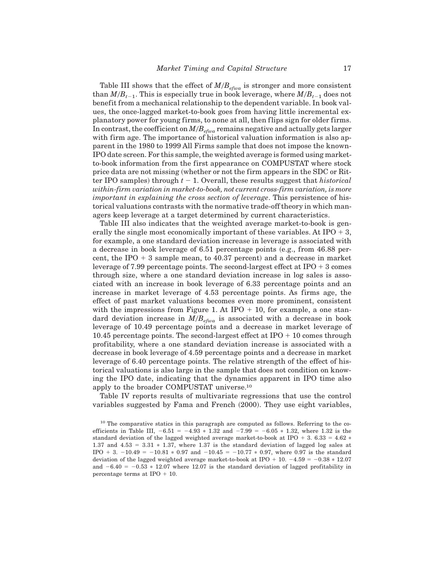Table III shows that the effect of  $M/B_{efwa}$  is stronger and more consistent than  $M/B_{t-1}$ . This is especially true in book leverage, where  $M/B_{t-1}$  does not benefit from a mechanical relationship to the dependent variable. In book values, the once-lagged market-to-book goes from having little incremental explanatory power for young firms, to none at all, then flips sign for older firms. In contrast, the coefficient on  $M/B_{efwa}$  remains negative and actually gets larger with firm age. The importance of historical valuation information is also apparent in the 1980 to 1999 All Firms sample that does not impose the known-IPO date screen. For this sample, the weighted average is formed using marketto-book information from the first appearance on COMPUSTAT where stock price data are not missing (whether or not the firm appears in the SDC or Ritter IPO samples) through  $t - 1$ . Overall, these results suggest that *historical within-firm variation in market-to-book, not current cross-firm variation, is more important in explaining the cross section of leverage*. This persistence of historical valuations contrasts with the normative trade-off theory in which managers keep leverage at a target determined by current characteristics.

Table III also indicates that the weighted average market-to-book is generally the single most economically important of these variables. At IPO  $+$  3, for example, a one standard deviation increase in leverage is associated with a decrease in book leverage of 6.51 percentage points  $(e.g., from 46.88$  percent, the IPO  $+3$  sample mean, to 40.37 percent) and a decrease in market leverage of 7.99 percentage points. The second-largest effect at  $IPO + 3$  comes through size, where a one standard deviation increase in log sales is associated with an increase in book leverage of 6.33 percentage points and an increase in market leverage of 4.53 percentage points. As firms age, the effect of past market valuations becomes even more prominent, consistent with the impressions from Figure 1. At IPO  $+$  10, for example, a one standard deviation increase in  $M/B_{efwa}$  is associated with a decrease in book leverage of 10.49 percentage points and a decrease in market leverage of 10.45 percentage points. The second-largest effect at  $IPO + 10$  comes through profitability, where a one standard deviation increase is associated with a decrease in book leverage of 4.59 percentage points and a decrease in market leverage of 6.40 percentage points. The relative strength of the effect of historical valuations is also large in the sample that does not condition on knowing the IPO date, indicating that the dynamics apparent in IPO time also apply to the broader COMPUSTAT universe.10

Table IV reports results of multivariate regressions that use the control variables suggested by Fama and French (2000). They use eight variables,

<sup>10</sup> The comparative statics in this paragraph are computed as follows. Referring to the coefficients in Table III,  $-6.51 = -4.93 * 1.32$  and  $-7.99 = -6.05 * 1.32$ , where 1.32 is the standard deviation of the lagged weighted average market-to-book at IPO  $+$  3. 6.33 = 4.62  $*$ 1.37 and  $4.53 = 3.31 * 1.37$ , where 1.37 is the standard deviation of lagged log sales at IPO  $+ 3. -10.49 = -10.81 * 0.97$  and  $-10.45 = -10.77 * 0.97$ , where 0.97 is the standard deviation of the lagged weighted average market-to-book at IPO  $+$  10.  $-4.59 = -0.38 * 12.07$ and  $-6.40 = -0.53 * 12.07$  where 12.07 is the standard deviation of lagged profitability in percentage terms at IPO  $+$  10.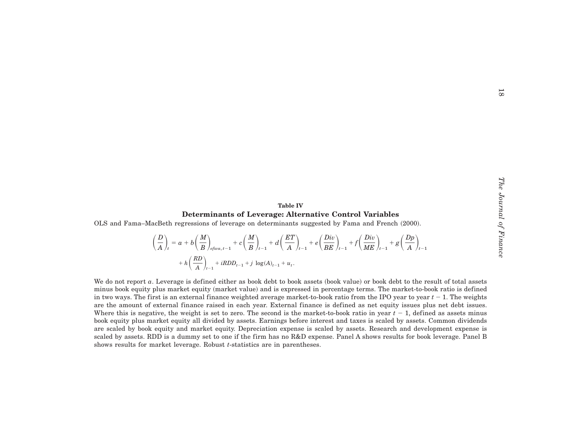### **Table IV**

## **Determinants of Leverage: Alternative Control Variables**

OLS and Fama–MacBeth regressions of leverage on determinants suggested by Fama and French (2000).

$$
\left(\frac{D}{A}\right)_{t} = a + b \left(\frac{M}{B}\right)_{e\text{fwa}, t-1} + c \left(\frac{M}{B}\right)_{t-1} + d \left(\frac{ET}{A}\right)_{t-1} + e \left(\frac{Div}{BE}\right)_{t-1} + f \left(\frac{Div}{ME}\right)_{t-1} + g \left(\frac{Dp}{A}\right)_{t-1} + h \left(\frac{RD}{A}\right)_{t-1} + iRDD_{t-1} + j \log(A)_{t-1} + u_t.
$$

We do not report *a*. Leverage is defined either as book debt to book assets (book value) or book debt to the result of total assets minus book equity plus market equity (market value) and is expressed in percentage terms. The market-to-book ratio is defined in two ways. The first is an external finance weighted average market-to-book ratio from the IPO year to year  $t-1$ . The weights are the amount of external finance raised in each year. External finance is defined as net equity issues plus net debt issues. Where this is negative, the weight is set to zero. The second is the market-to-book ratio in year  $t-1$ , defined as assets minus book equity plus market equity all divided by assets. Earnings before interest and taxes is scaled by assets. Common dividends are scaled by book equity and market equity. Depreciation expense is scaled by assets. Research and development expense is scaled by assets. RDD is <sup>a</sup> dummy set to one if the firm has no R&D expense. Panel A shows results for book leverage. Panel B shows results for market leverage. Robust *<sup>t</sup>*-statistics are in parentheses.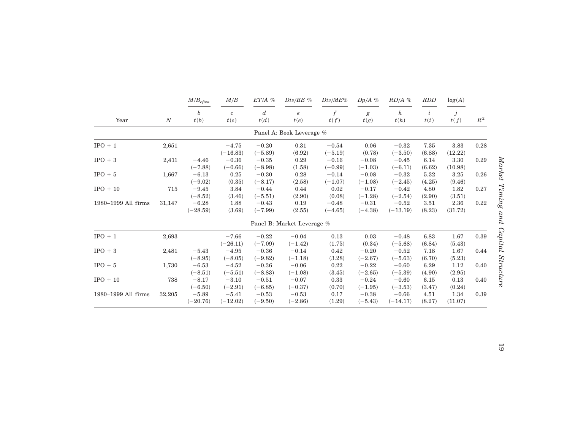|                     |          | $M/B_\mathit{efwa}$   | M/B                    | $ET/A$ %                 | $Div/BE \%$                | $Div/ME\%$           | $Dp/A$ %             | $RD/A$ %              | <b>RDD</b>            | log(A)                 |                |
|---------------------|----------|-----------------------|------------------------|--------------------------|----------------------------|----------------------|----------------------|-----------------------|-----------------------|------------------------|----------------|
| Year                | $\cal N$ | b<br>t(b)             | $\mathfrak{c}$<br>t(c) | $\boldsymbol{d}$<br>t(d) | $\epsilon$<br>t(e)         | t(f)                 | g<br>t(g)            | $\hbar$<br>t(h)       | $\dot{\iota}$<br>t(i) | $\overline{J}$<br>t(j) | $\mathbb{R}^2$ |
|                     |          |                       |                        |                          | Panel A: Book Leverage %   |                      |                      |                       |                       |                        |                |
| $IPO + 1$           | 2,651    |                       | $-4.75$<br>$(-16.83)$  | $-0.20$<br>$(-5.89)$     | 0.31<br>(6.92)             | $-0.54$<br>$(-5.19)$ | 0.06<br>(0.78)       | $-0.32$<br>$(-3.50)$  | 7.35<br>(6.88)        | 3.83<br>(12.22)        | 0.28           |
| $IPO + 3$           | 2,411    | $-4.46$<br>$(-7.88)$  | $-0.36$<br>$(-0.66)$   | $-0.35$<br>$(-8.98)$     | 0.29<br>(1.58)             | $-0.16$<br>$(-0.99)$ | $-0.08$<br>$(-1.03)$ | $-0.45$<br>$(-6.11)$  | 6.14<br>(6.62)        | 3.30<br>(10.98)        | 0.29           |
| $IPO + 5$           | 1,667    | $-6.13$<br>$(-9.02)$  | 0.25<br>(0.35)         | $-0.30$<br>$(-8.17)$     | 0.28<br>(2.58)             | $-0.14$<br>$(-1.07)$ | $-0.08$<br>$(-1.08)$ | $-0.32$<br>$(-2.45)$  | 5.32<br>(4.25)        | 3.25<br>(9.46)         | 0.26           |
| $IPO + 10$          | 715      | $-9.45$<br>$(-8.52)$  | 3.84<br>(3.46)         | $-0.44$<br>$(-5.51)$     | 0.44<br>(2.90)             | 0.02<br>(0.08)       | $-0.17$<br>$(-1.28)$ | $-0.42$<br>$(-2.54)$  | 4.80<br>(2.90)        | 1.82<br>(3.51)         | 0.27           |
| 1980-1999 All firms | 31,147   | $-6.28$<br>$(-28.59)$ | 1.88<br>(3.69)         | $-0.43$<br>$(-7.99)$     | 0.19<br>(2.55)             | $-0.48$<br>$(-4.65)$ | $-0.31$<br>$(-4.38)$ | $-0.52$<br>$(-13.19)$ | 3.51<br>(8.23)        | 2.36<br>(31.72)        | 0.22           |
|                     |          |                       |                        |                          | Panel B: Market Leverage % |                      |                      |                       |                       |                        |                |
| $IPO + 1$           | 2,693    |                       | $-7.66$<br>$(-26.11)$  | $-0.22$<br>$(-7.09)$     | $-0.04$<br>$(-1.42)$       | 0.13<br>(1.75)       | 0.03<br>(0.34)       | $-0.48$<br>$(-5.68)$  | 6.83<br>(6.84)        | 1.67<br>(5.43)         | 0.39           |
| $IPO + 3$           | 2,481    | $-5.43$<br>$(-8.95)$  | $-4.95$<br>$(-8.05)$   | $-0.36$<br>$(-9.82)$     | $-0.14$<br>$(-1.18)$       | 0.42<br>(3.28)       | $-0.20$<br>$(-2.67)$ | $-0.52$<br>$(-5.63)$  | 7.18<br>(6.70)        | 1.67<br>(5.23)         | 0.44           |
| $IPO + 5$           | 1,730    | $-6.53$<br>$(-8.51)$  | $-4.52$<br>$(-5.51)$   | $-0.36$<br>$(-8.83)$     | $-0.06$<br>$(-1.08)$       | 0.22<br>(3.45)       | $-0.22$<br>$(-2.65)$ | $-0.60$<br>$(-5.39)$  | 6.29<br>(4.90)        | 1.12<br>(2.95)         | 0.40           |
| $IPO + 10$          | 738      | $-8.17$<br>$(-6.50)$  | $-3.10$<br>$(-2.91)$   | $-0.51$<br>$(-6.85)$     | $-0.07$<br>$(-0.37)$       | 0.33<br>(0.70)       | $-0.24$<br>$(-1.95)$ | $-0.60$<br>$(-3.53)$  | 6.15<br>(3.47)        | 0.13<br>(0.24)         | 0.40           |
| 1980-1999 All firms | 32,205   | $-5.89$<br>$(-20.76)$ | $-5.41$<br>$(-12.02)$  | $-0.53$<br>$(-9.50)$     | $-0.53$<br>$(-2.86)$       | 0.17<br>(1.29)       | $-0.38$<br>$(-5.43)$ | $-0.66$<br>$(-14.17)$ | 4.51<br>(8.27)        | 1.34<br>(11.07)        | 0.39           |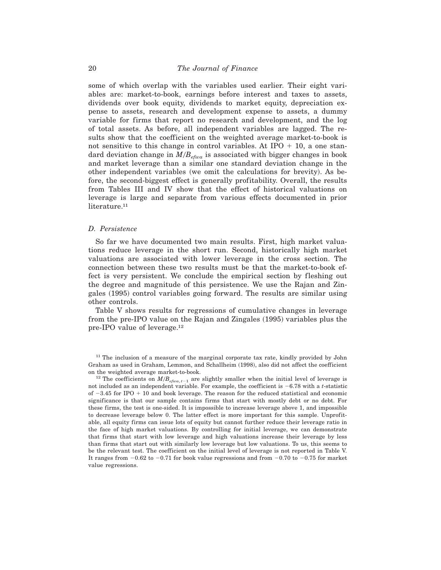some of which overlap with the variables used earlier. Their eight variables are: market-to-book, earnings before interest and taxes to assets, dividends over book equity, dividends to market equity, depreciation expense to assets, research and development expense to assets, a dummy variable for firms that report no research and development, and the log of total assets. As before, all independent variables are lagged. The results show that the coefficient on the weighted average market-to-book is not sensitive to this change in control variables. At IPO  $+$  10, a one standard deviation change in  $M/B_{efwa}$  is associated with bigger changes in book and market leverage than a similar one standard deviation change in the other independent variables (we omit the calculations for brevity). As before, the second-biggest effect is generally profitability. Overall, the results from Tables III and IV show that the effect of historical valuations on leverage is large and separate from various effects documented in prior literature.<sup>11</sup>

#### *D. Persistence*

So far we have documented two main results. First, high market valuations reduce leverage in the short run. Second, historically high market valuations are associated with lower leverage in the cross section. The connection between these two results must be that the market-to-book effect is very persistent. We conclude the empirical section by fleshing out the degree and magnitude of this persistence. We use the Rajan and Zingales (1995) control variables going forward. The results are similar using other controls.

Table V shows results for regressions of cumulative changes in leverage from the pre-IPO value on the Rajan and Zingales (1995) variables plus the pre-IPO value of leverage.12

 $11$  The inclusion of a measure of the marginal corporate tax rate, kindly provided by John Graham as used in Graham, Lemmon, and Schallheim (1998), also did not affect the coefficient on the weighted average market-to-book.

<sup>12</sup> The coefficients on  $M/B_{e\hat{t}m\alpha,t-1}$  are slightly smaller when the initial level of leverage is not included as an independent variable. For example, the coefficient is  $-6.78$  with a *t*-statistic of  $-3.45$  for IPO  $+10$  and book leverage. The reason for the reduced statistical and economic significance is that our sample contains firms that start with mostly debt or no debt. For these firms, the test is one-sided. It is impossible to increase leverage above 1, and impossible to decrease leverage below 0. The latter effect is more important for this sample. Unprofitable, all equity firms can issue lots of equity but cannot further reduce their leverage ratio in the face of high market valuations. By controlling for initial leverage, we can demonstrate that firms that start with low leverage and high valuations increase their leverage by less than firms that start out with similarly low leverage but low valuations. To us, this seems to be the relevant test. The coefficient on the initial level of leverage is not reported in Table V. It ranges from  $-0.62$  to  $-0.71$  for book value regressions and from  $-0.70$  to  $-0.75$  for market value regressions.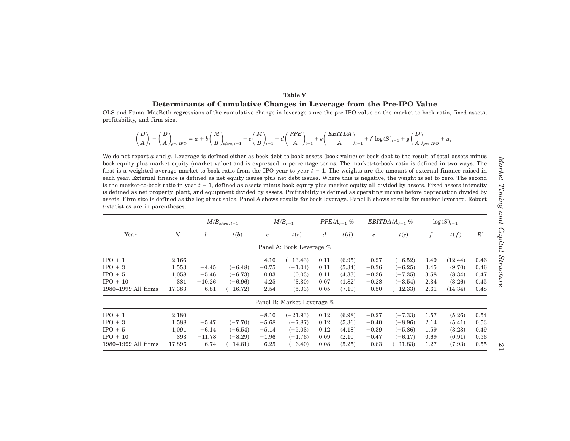## **Table VDeterminants of Cumulative Changes in Leverage from the Pre-IPO Value**

OLS and Fama–MacBeth regressions of the cumulative change in leverage since the pre-IPO value on the market-to-book ratio, fixed assets, profitability, and firm size.

$$
\left(\frac{D}{A}\right)_t-\left(\frac{D}{A}\right)_{pre\cdot IPO}=a+b\left(\frac{M}{B}\right)_{e\text{fwa},\,t-1}+c\left(\frac{M}{B}\right)_{t-1}+d\left(\frac{PPE}{A}\right)_{t-1}+e\left(\frac{EBITDA}{A}\right)_{t-1}+f\,\log(S)_{t-1}+g\left(\frac{D}{A}\right)_{pre\cdot IPO}+u_t.
$$

We do not report *a* and *g*. Leverage is defined either as book debt to book assets (book value) or book debt to the result of total assets minus book equity plus market equity (market value) and is expressed in percentage terms. The market-to-book ratio is defined in two ways. The first is a weighted average market-to-book ratio from the IPO year to year  $t-1$ . The weights are the amount of external finance raised in each year. External finance is defined as net equity issues plus net debt issues. Where this is negative, the weight is set to zero. The second is the market-to-book ratio in year  $t-1$ , defined as assets minus book equity plus market equity all divided by assets. Fixed assets intensity is defined as net property, plant, and equipment divided by assets. Profitability is defined as operating income before depreciation divided by assets. Firm size is defined as the log of net sales. Panel A shows results for book leverage. Panel B shows results for market leverage. Robust *<sup>t</sup>*-statistics are in parentheses.

|                     |                  | $M/B$ <sub>efwa, t</sub> -1 |            | $M/B_{t-1}$      |                            | $PPE/A_{t-1}$ % |        | $EBITDA/A_{t-1}$ % |            | $\log(S)_{t=1}$ |         |       |  |
|---------------------|------------------|-----------------------------|------------|------------------|----------------------------|-----------------|--------|--------------------|------------|-----------------|---------|-------|--|
| Year                | $\boldsymbol{N}$ | b                           | t(b)       | $\boldsymbol{c}$ | t(c)                       | d               | t(d)   | $\boldsymbol{e}$   | t(e)       |                 | t(f)    | $R^2$ |  |
|                     |                  |                             |            |                  | Panel A: Book Leverage %   |                 |        |                    |            |                 |         |       |  |
| $\text{IPO} + 1$    | 2,166            |                             |            | $-4.10$          | $(-13.43)$                 | 0.11            | (6.95) | $-0.27$            | $(-6.52)$  | 3.49            | (12.44) | 0.46  |  |
| $\text{IPO} + 3$    | 1,553            | $-4.45$                     | $(-6.48)$  | $-0.75$          | $(-1.04)$                  | 0.11            | (5.34) | $-0.36$            | $(-6.25)$  | 3.45            | (9.70)  | 0.46  |  |
| $IPO + 5$           | 1,058            | $-5.46$                     | $(-6.73)$  | 0.03             | (0.03)                     | 0.11            | (4.33) | $-0.36$            | $(-7.35)$  | 3.58            | (8.34)  | 0.47  |  |
| $\text{IPO} + 10$   | 381              | $-10.26$                    | $(-6.96)$  | 4.25             | (3.30)                     | 0.07            | (1.82) | $-0.28$            | $(-3.54)$  | 2.34            | (3.26)  | 0.45  |  |
| 1980–1999 All firms | 17,383           | $-6.81$                     | $(-16.72)$ | 2.54             | (5.03)                     | 0.05            | (7.19) | $-0.50$            | $(-12.33)$ | 2.61            | (14.34) | 0.48  |  |
|                     |                  |                             |            |                  | Panel B: Market Leverage % |                 |        |                    |            |                 |         |       |  |
| $IPO + 1$           | 2,180            |                             |            | $-8.10$          | $(-21.93)$                 | 0.12            | (6.98) | $-0.27$            | $(-7.33)$  | 1.57            | (5.26)  | 0.54  |  |
| $\text{IPO} + 3$    | 1,588            | $-5.47$                     | $(-7.70)$  | $-5.68$          | $(-7.87)$                  | 0.12            | (5.36) | $-0.40$            | $(-8.96)$  | 2.14            | (5.41)  | 0.53  |  |
| $\text{IPO} + 5$    | 1,091            | $-6.14$                     | $(-6.54)$  | $-5.14$          | $(-5.03)$                  | 0.12            | (4.18) | $-0.39$            | $(-5.86)$  | 1.59            | (3.23)  | 0.49  |  |
| $\text{IPO} + 10$   | 393              | $-11.78$                    | $(-8.29)$  | $-1.96$          | $(-1.76)$                  | 0.09            | (2.10) | $-0.47$            | $(-6.17)$  | 0.69            | (0.91)  | 0.56  |  |
| 1980–1999 All firms | 17,896           | $-6.74$                     | $(-14.81)$ | $-6.25$          | $(-6.40)$                  | 0.08            | (5.25) | $-0.63$            | $(-11.83)$ | 1.27            | (7.93)  | 0.55  |  |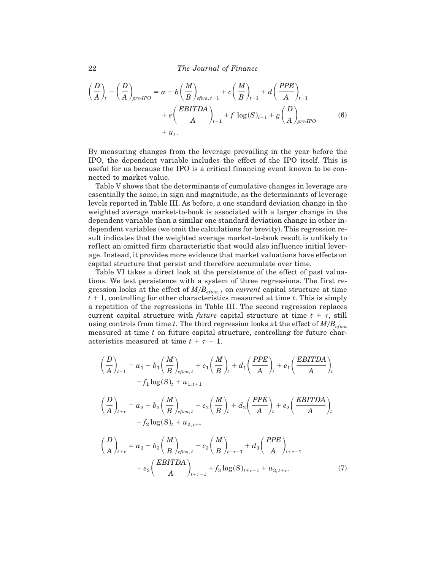22 *The Journal of Finance*

$$
\left(\frac{D}{A}\right)_t - \left(\frac{D}{A}\right)_{pre\text{-}PO} = a + b\left(\frac{M}{B}\right)_{e\text{-}fwa, t-1} + c\left(\frac{M}{B}\right)_{t-1} + d\left(\frac{PPE}{A}\right)_{t-1} + e\left(\frac{EBITDA}{A}\right)_{t-1} + f\log(S)_{t-1} + g\left(\frac{D}{A}\right)_{pre\text{-}IPO} \tag{6}
$$
\n
$$
+ u_t.
$$

By measuring changes from the leverage prevailing in the year before the IPO, the dependent variable includes the effect of the IPO itself. This is useful for us because the IPO is a critical financing event known to be connected to market value.

Table V shows that the determinants of cumulative changes in leverage are essentially the same, in sign and magnitude, as the determinants of leverage levels reported in Table III. As before, a one standard deviation change in the weighted average market-to-book is associated with a larger change in the dependent variable than a similar one standard deviation change in other independent variables (we omit the calculations for brevity). This regression result indicates that the weighted average market-to-book result is unlikely to reflect an omitted firm characteristic that would also influence initial leverage. Instead, it provides more evidence that market valuations have effects on capital structure that persist and therefore accumulate over time.

Table VI takes a direct look at the persistence of the effect of past valuations. We test persistence with a system of three regressions. The first regression looks at the effect of  $M/B_{e\text{fwa},t}$  on *current* capital structure at time  $t + 1$ , controlling for other characteristics measured at time  $t$ . This is simply a repetition of the regressions in Table III. The second regression replaces current capital structure with *future* capital structure at time  $t + \tau$ , still using controls from time *t*. The third regression looks at the effect of  $M/B_{efwa}$ measured at time *t* on future capital structure, controlling for future characteristics measured at time  $t + \tau - 1$ .

$$
\left(\frac{D}{A}\right)_{t+1} = a_1 + b_1 \left(\frac{M}{B}\right)_{e\text{fwa},t} + c_1 \left(\frac{M}{B}\right)_t + d_1 \left(\frac{PPE}{A}\right)_t + e_1 \left(\frac{EBITDA}{A}\right)_t + f_1 \log(S)_t + u_{1,t+1}
$$

$$
\left(\frac{D}{A}\right)_{t+\tau} = a_2 + b_2 \left(\frac{M}{B}\right)_{e\text{fwa},t} + c_2 \left(\frac{M}{B}\right)_t + d_2 \left(\frac{PPE}{A}\right)_t + e_2 \left(\frac{EBITDA}{A}\right)_t
$$

$$
+ f_2 \log(S)_t + u_{2,t+\tau}
$$

$$
\left(\frac{D}{A}\right)_{t+\tau} = a_3 + b_3 \left(\frac{M}{B}\right)_{e\text{fwa},t} + c_3 \left(\frac{M}{B}\right)_{t+\tau-1} + d_3 \left(\frac{PPE}{A}\right)_{t+\tau-1} + e_3 \left(\frac{EBITDA}{A}\right)_{t+\tau-1} + f_3 \log(S)_{t+\tau-1} + u_{3,t+\tau}.
$$
\n(7)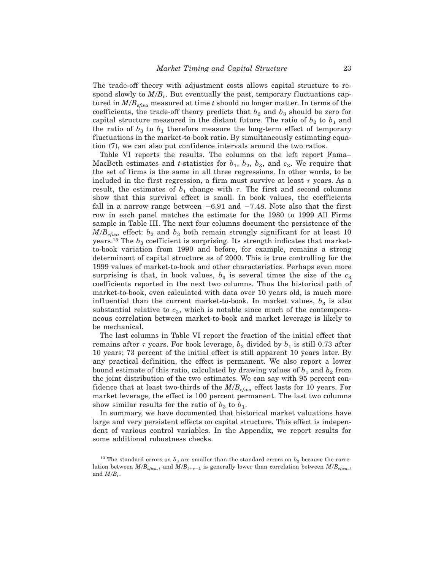The trade-off theory with adjustment costs allows capital structure to respond slowly to  $M/B_t$ . But eventually the past, temporary fluctuations captured in  $M/B_{efwa}$  measured at time *t* should no longer matter. In terms of the coefficients, the trade-off theory predicts that  $b_2$  and  $b_3$  should be zero for capital structure measured in the distant future. The ratio of  $b_2$  to  $b_1$  and the ratio of  $b_3$  to  $b_1$  therefore measure the long-term effect of temporary fluctuations in the market-to-book ratio. By simultaneously estimating equation  $(7)$ , we can also put confidence intervals around the two ratios.

Table VI reports the results. The columns on the left report Fama– MacBeth estimates and *t*-statistics for  $b_1$ ,  $b_2$ ,  $b_3$ , and  $c_3$ . We require that the set of firms is the same in all three regressions. In other words, to be included in the first regression, a firm must survive at least  $\tau$  years. As a result, the estimates of  $b_1$  change with  $\tau$ . The first and second columns show that this survival effect is small. In book values, the coefficients fall in a narrow range between  $-6.91$  and  $-7.48$ . Note also that the first row in each panel matches the estimate for the 1980 to 1999 All Firms sample in Table III. The next four columns document the persistence of the  $M/B_{efwa}$  effect:  $b_2$  and  $b_3$  both remain strongly significant for at least 10 years.<sup>13</sup> The  $b_3$  coefficient is surprising. Its strength indicates that marketto-book variation from 1990 and before, for example, remains a strong determinant of capital structure as of 2000. This is true controlling for the 1999 values of market-to-book and other characteristics. Perhaps even more surprising is that, in book values,  $b_3$  is several times the size of the  $c_3$ coefficients reported in the next two columns. Thus the historical path of market-to-book, even calculated with data over 10 years old, is much more influential than the current market-to-book. In market values,  $b_3$  is also substantial relative to  $c_3$ , which is notable since much of the contemporaneous correlation between market-to-book and market leverage is likely to be mechanical.

The last columns in Table VI report the fraction of the initial effect that remains after  $\tau$  years. For book leverage,  $b_2$  divided by  $b_1$  is still 0.73 after 10 years; 73 percent of the initial effect is still apparent 10 years later. By any practical definition, the effect is permanent. We also report a lower bound estimate of this ratio, calculated by drawing values of  $b_1$  and  $b_2$  from the joint distribution of the two estimates. We can say with 95 percent confidence that at least two-thirds of the  $M/B_{efwa}$  effect lasts for 10 years. For market leverage, the effect is 100 percent permanent. The last two columns show similar results for the ratio of  $b_3$  to  $b_1$ .

In summary, we have documented that historical market valuations have large and very persistent effects on capital structure. This effect is independent of various control variables. In the Appendix, we report results for some additional robustness checks.

<sup>&</sup>lt;sup>13</sup> The standard errors on  $b_3$  are smaller than the standard errors on  $b_2$  because the correlation between  $M/B_{e\text{f}wa,t}$  and  $M/B_{t+\tau-1}$  is generally lower than correlation between  $M/B_{e\text{f}wa,t}$ and  $M/B_t$ .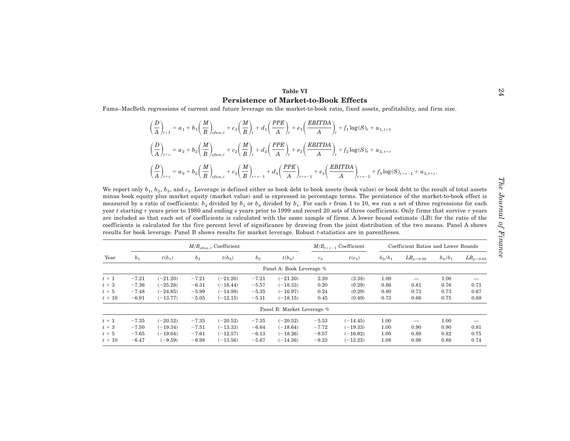## **Table VIPersistence of Market-to-Book Effects**

Fama–MacBeth regressions of current and future leverage on the market-to-book ratio, fixed assets, profitability, and firm size.

$$
\left(\frac{D}{A}\right)_{t+1} = a_1 + b_1 \left(\frac{M}{B}\right)_{e\text{fwa},t} + c_1 \left(\frac{M}{B}\right)_t + d_1 \left(\frac{PPE}{A}\right)_t + e_1 \left(\frac{EBITDA}{A}\right)_t + f_1 \log(S)_t + u_{1,t+1}
$$
\n
$$
\left(\frac{D}{A}\right)_{t+\tau} = a_2 + b_2 \left(\frac{M}{B}\right)_{e\text{fwa},t} + c_2 \left(\frac{M}{B}\right)_t + d_2 \left(\frac{PPE}{A}\right)_t + e_2 \left(\frac{EBITDA}{A}\right)_t + f_2 \log(S)_t + u_{2,t+\tau}
$$
\n
$$
\left(\frac{D}{A}\right)_{t+\tau} = a_3 + b_3 \left(\frac{M}{B}\right)_{e\text{fwa},t} + c_3 \left(\frac{M}{B}\right)_{t+\tau-1} + d_3 \left(\frac{PPE}{A}\right)_{t+\tau-1} + e_3 \left(\frac{EBITDA}{A}\right)_{t+\tau-1} + f_3 \log(S)_{t+\tau-1} + u_{3,t+\tau}.
$$

We report only  $b_1$ ,  $b_2$ ,  $b_3$ , and  $c_4$ . Leverage is defined either as book debt to book assets (book value) or book debt to the result of total assets minus book equity plus market equity (market value) and is expressed in percentage terms. The persistence of the market-to-book effect is measured by a ratio of coefficients:  $b_2$  divided by  $b_1$  or  $b_3$  divided by  $b_1$ . For each  $\tau$  from 1 to 10, we run a set of three regressions for each year t starting  $\tau$  years prior to 1980 and ending *s* years prior to 1999 and record 20 sets of three coefficients. Only firms that survive  $\tau$  years are included so that each set of coefficients is calculated with the same sample of firms. A lower bound estimate (LB) for the ratio of the coefficients is calculated for the five percent level of significance by drawing from the joint distribution of the two means. Panel A shows results for book leverage. Panel B shows results for market leverage. Robust *<sup>t</sup>*-statistics are in parentheses.

|          |                |            |                | $M/B_{efwa,t}$ Coefficient |         |                            |         | $M/B$ <sub>t+τ-1</sub> Coefficient |           | Coefficient Ratios and Lower Bounds |           |               |  |
|----------|----------------|------------|----------------|----------------------------|---------|----------------------------|---------|------------------------------------|-----------|-------------------------------------|-----------|---------------|--|
| Year     | b <sub>1</sub> | $t(b_1)$   | b <sub>2</sub> | $t(b_2)$                   | $b_3$   | $t(b_3)$                   | $c_{3}$ | $t(c_3)$                           | $b_2/b_1$ | $LB_{p=0.05}$                       | $b_3/b_1$ | $LB_{p=0.05}$ |  |
|          |                |            |                |                            |         | Panel A: Book Leverage %   |         |                                    |           |                                     |           |               |  |
| $t+1$    | $-7.21$        | $(-21.20)$ | $-7.21$        | $(-21.20)$                 | $-7.21$ | $(-21.20)$                 | 2.20    | (3.38)                             | 1.00      |                                     | 1.00      |               |  |
| $t + 3$  | $-7.36$        | $(-25.28)$ | $-6.31$        | $(-18.44)$                 | $-5.57$ | $(-18.33)$                 | 0.20    | (0.29)                             | 0.86      | 0.81                                | 0.76      | 0.71          |  |
| $t+5$    | $-7.48$        | $(-24.85)$ | $-5.99$        | $(-14.98)$                 | $-5.35$ | $(-16.97)$                 | 0.24    | (0.29)                             | 0.80      | 0.73                                | 0.73      | 0.67          |  |
| $t + 10$ | $-6.91$        | $(-13.77)$ | $-5.05$        | $(-12.15)$                 | $-5.11$ | $(-18.15)$                 | 0.45    | (0.49)                             | 0.73      | 0.66                                | 0.75      | 0.68          |  |
|          |                |            |                |                            |         | Panel B: Market Leverage % |         |                                    |           |                                     |           |               |  |
| $t+1$    | $-7.35$        | $(-20.52)$ | $-7.35$        | $(-20.52)$                 | $-7.35$ | $(-20.52)$                 | $-5.53$ | $(-14.45)$                         | 1.00      |                                     | 1.00      |               |  |
| $t + 3$  | $-7.50$        | $(-19.34)$ | $-7.51$        | $(-13.33)$                 | $-6.64$ | $(-18.64)$                 | $-7.72$ | $(-19.33)$                         | 1.00      | 0.90                                | 0.90      | 0.81          |  |
| $t + 5$  | $-7.65$        | $(-19.04)$ | $-7.61$        | $(-12.57)$                 | $-6.13$ | $(-18.26)$                 | $-8.57$ | $(-16.92)$                         | 1.00      | 0.89                                | 0.82      | 0.75          |  |
| $t + 10$ | $-6.47$        | $(-9.59)$  | $-6.98$        | $(-13.56)$                 | $-5.67$ | $(-14.36)$                 | $-9.23$ | $(-13.25)$                         | 1.08      | 0.98                                | 0.88      | 0.74          |  |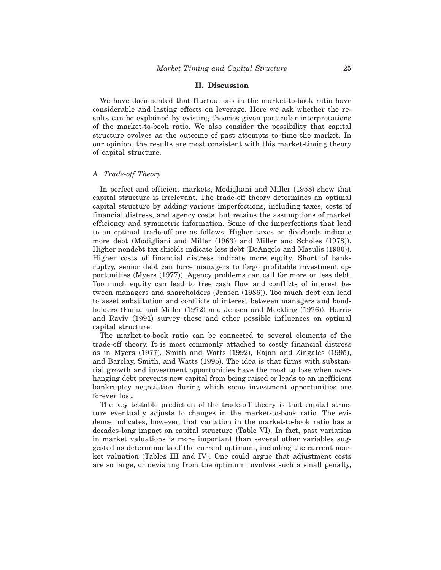## **II. Discussion**

We have documented that fluctuations in the market-to-book ratio have considerable and lasting effects on leverage. Here we ask whether the results can be explained by existing theories given particular interpretations of the market-to-book ratio. We also consider the possibility that capital structure evolves as the outcome of past attempts to time the market. In our opinion, the results are most consistent with this market-timing theory of capital structure.

## *A. Trade-off Theory*

In perfect and efficient markets, Modigliani and Miller (1958) show that capital structure is irrelevant. The trade-off theory determines an optimal capital structure by adding various imperfections, including taxes, costs of financial distress, and agency costs, but retains the assumptions of market efficiency and symmetric information. Some of the imperfections that lead to an optimal trade-off are as follows. Higher taxes on dividends indicate more debt  $(Modigliani$  and Miller  $(1963)$  and Miller and Scholes  $(1978)$ . Higher nondebt tax shields indicate less debt (DeAngelo and Masulis (1980)). Higher costs of financial distress indicate more equity. Short of bankruptcy, senior debt can force managers to forgo profitable investment opportunities (Myers (1977)). Agency problems can call for more or less debt. Too much equity can lead to free cash flow and conflicts of interest between managers and shareholders (Jensen (1986)). Too much debt can lead to asset substitution and conflicts of interest between managers and bondholders (Fama and Miller (1972) and Jensen and Meckling (1976)). Harris and Raviv (1991) survey these and other possible influences on optimal capital structure.

The market-to-book ratio can be connected to several elements of the trade-off theory. It is most commonly attached to costly financial distress as in Myers  $(1977)$ , Smith and Watts  $(1992)$ , Rajan and Zingales  $(1995)$ , and Barclay, Smith, and Watts (1995). The idea is that firms with substantial growth and investment opportunities have the most to lose when overhanging debt prevents new capital from being raised or leads to an inefficient bankruptcy negotiation during which some investment opportunities are forever lost.

The key testable prediction of the trade-off theory is that capital structure eventually adjusts to changes in the market-to-book ratio. The evidence indicates, however, that variation in the market-to-book ratio has a decades-long impact on capital structure (Table VI). In fact, past variation in market valuations is more important than several other variables suggested as determinants of the current optimum, including the current market valuation (Tables III and IV). One could argue that adjustment costs are so large, or deviating from the optimum involves such a small penalty,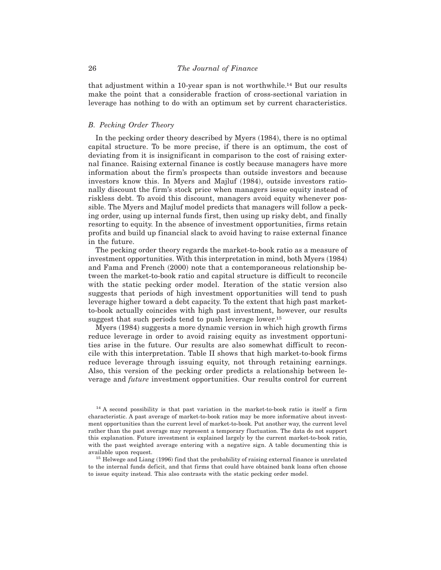that adjustment within a 10-year span is not worthwhile.14 But our results make the point that a considerable fraction of cross-sectional variation in leverage has nothing to do with an optimum set by current characteristics.

## *B. Pecking Order Theory*

In the pecking order theory described by Myers  $(1984)$ , there is no optimal capital structure. To be more precise, if there is an optimum, the cost of deviating from it is insignificant in comparison to the cost of raising external finance. Raising external finance is costly because managers have more information about the firm's prospects than outside investors and because investors know this. In Myers and Majluf  $(1984)$ , outside investors rationally discount the firm's stock price when managers issue equity instead of riskless debt. To avoid this discount, managers avoid equity whenever possible. The Myers and Majluf model predicts that managers will follow a pecking order, using up internal funds first, then using up risky debt, and finally resorting to equity. In the absence of investment opportunities, firms retain profits and build up financial slack to avoid having to raise external finance in the future.

The pecking order theory regards the market-to-book ratio as a measure of investment opportunities. With this interpretation in mind, both Myers (1984) and Fama and French  $(2000)$  note that a contemporaneous relationship between the market-to-book ratio and capital structure is difficult to reconcile with the static pecking order model. Iteration of the static version also suggests that periods of high investment opportunities will tend to push leverage higher toward a debt capacity. To the extent that high past marketto-book actually coincides with high past investment, however, our results suggest that such periods tend to push leverage lower.<sup>15</sup>

Myers (1984) suggests a more dynamic version in which high growth firms reduce leverage in order to avoid raising equity as investment opportunities arise in the future. Our results are also somewhat difficult to reconcile with this interpretation. Table II shows that high market-to-book firms reduce leverage through issuing equity, not through retaining earnings. Also, this version of the pecking order predicts a relationship between leverage and *future* investment opportunities. Our results control for current

 $14$  A second possibility is that past variation in the market-to-book ratio is itself a firm characteristic. A past average of market-to-book ratios may be more informative about investment opportunities than the current level of market-to-book. Put another way, the current level rather than the past average may represent a temporary fluctuation. The data do not support this explanation. Future investment is explained largely by the current market-to-book ratio, with the past weighted average entering with a negative sign. A table documenting this is available upon request.

 $15$  Helwege and Liang  $(1996)$  find that the probability of raising external finance is unrelated to the internal funds deficit, and that firms that could have obtained bank loans often choose to issue equity instead. This also contrasts with the static pecking order model.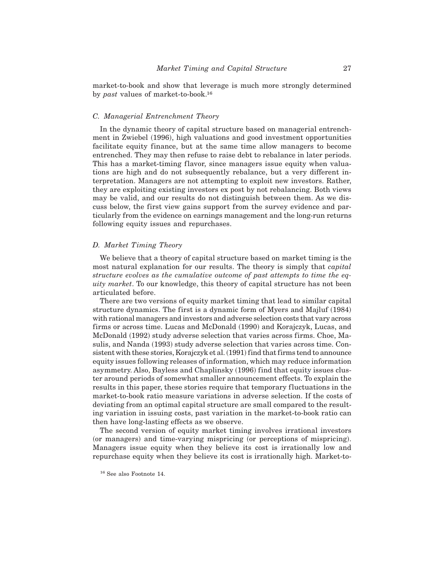market-to-book and show that leverage is much more strongly determined by *past* values of market-to-book.16

#### *C. Managerial Entrenchment Theory*

In the dynamic theory of capital structure based on managerial entrenchment in Zwiebel (1996), high valuations and good investment opportunities facilitate equity finance, but at the same time allow managers to become entrenched. They may then refuse to raise debt to rebalance in later periods. This has a market-timing flavor, since managers issue equity when valuations are high and do not subsequently rebalance, but a very different interpretation. Managers are not attempting to exploit new investors. Rather, they are exploiting existing investors ex post by not rebalancing. Both views may be valid, and our results do not distinguish between them. As we discuss below, the first view gains support from the survey evidence and particularly from the evidence on earnings management and the long-run returns following equity issues and repurchases.

## *D. Market Timing Theory*

We believe that a theory of capital structure based on market timing is the most natural explanation for our results. The theory is simply that *capital structure evolves as the cumulative outcome of past attempts to time the equity market*. To our knowledge, this theory of capital structure has not been articulated before.

There are two versions of equity market timing that lead to similar capital structure dynamics. The first is a dynamic form of Myers and Majluf  $(1984)$ with rational managers and investors and adverse selection costs that vary across firms or across time. Lucas and McDonald  $(1990)$  and Korajczyk, Lucas, and McDonald (1992) study adverse selection that varies across firms. Choe, Masulis, and Nanda (1993) study adverse selection that varies across time. Consistent with these stories, Korajczyk et al. (1991) find that firms tend to announce equity issues following releases of information, which may reduce information asymmetry. Also, Bayless and Chaplinsky (1996) find that equity issues cluster around periods of somewhat smaller announcement effects. To explain the results in this paper, these stories require that temporary fluctuations in the market-to-book ratio measure variations in adverse selection. If the costs of deviating from an optimal capital structure are small compared to the resulting variation in issuing costs, past variation in the market-to-book ratio can then have long-lasting effects as we observe.

The second version of equity market timing involves irrational investors (or managers) and time-varying mispricing (or perceptions of mispricing). Managers issue equity when they believe its cost is irrationally low and repurchase equity when they believe its cost is irrationally high. Market-to-

<sup>16</sup> See also Footnote 14.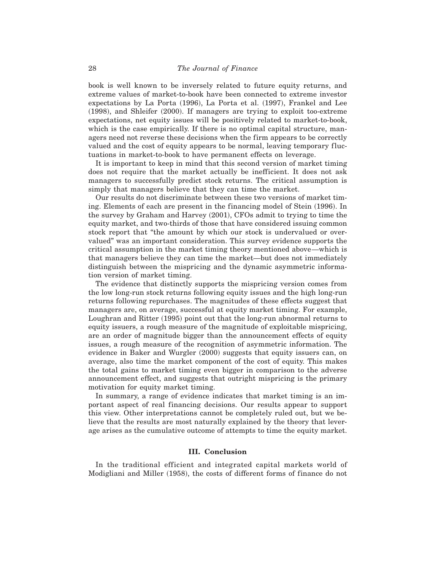book is well known to be inversely related to future equity returns, and extreme values of market-to-book have been connected to extreme investor expectations by La Porta  $(1996)$ , La Porta et al.  $(1997)$ , Frankel and Lee  $(1998)$ , and Shleifer  $(2000)$ . If managers are trying to exploit too-extreme expectations, net equity issues will be positively related to market-to-book, which is the case empirically. If there is no optimal capital structure, managers need not reverse these decisions when the firm appears to be correctly valued and the cost of equity appears to be normal, leaving temporary fluctuations in market-to-book to have permanent effects on leverage.

It is important to keep in mind that this second version of market timing does not require that the market actually be inefficient. It does not ask managers to successfully predict stock returns. The critical assumption is simply that managers believe that they can time the market.

Our results do not discriminate between these two versions of market timing. Elements of each are present in the financing model of Stein (1996). In the survey by Graham and Harvey  $(2001)$ , CFOs admit to trying to time the equity market, and two-thirds of those that have considered issuing common stock report that "the amount by which our stock is undervalued or overvalued" was an important consideration. This survey evidence supports the critical assumption in the market timing theory mentioned above—which is that managers believe they can time the market—but does not immediately distinguish between the mispricing and the dynamic asymmetric information version of market timing.

The evidence that distinctly supports the mispricing version comes from the low long-run stock returns following equity issues and the high long-run returns following repurchases. The magnitudes of these effects suggest that managers are, on average, successful at equity market timing. For example, Loughran and Ritter (1995) point out that the long-run abnormal returns to equity issuers, a rough measure of the magnitude of exploitable mispricing, are an order of magnitude bigger than the announcement effects of equity issues, a rough measure of the recognition of asymmetric information. The evidence in Baker and Wurgler (2000) suggests that equity issuers can, on average, also time the market component of the cost of equity. This makes the total gains to market timing even bigger in comparison to the adverse announcement effect, and suggests that outright mispricing is the primary motivation for equity market timing.

In summary, a range of evidence indicates that market timing is an important aspect of real financing decisions. Our results appear to support this view. Other interpretations cannot be completely ruled out, but we believe that the results are most naturally explained by the theory that leverage arises as the cumulative outcome of attempts to time the equity market.

## **III. Conclusion**

In the traditional efficient and integrated capital markets world of Modigliani and Miller (1958), the costs of different forms of finance do not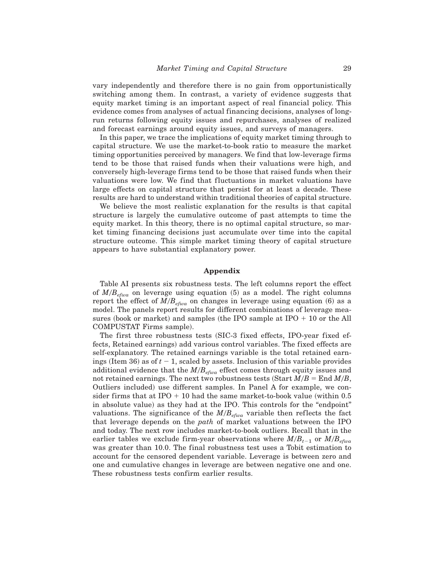vary independently and therefore there is no gain from opportunistically switching among them. In contrast, a variety of evidence suggests that equity market timing is an important aspect of real financial policy. This evidence comes from analyses of actual financing decisions, analyses of longrun returns following equity issues and repurchases, analyses of realized and forecast earnings around equity issues, and surveys of managers.

In this paper, we trace the implications of equity market timing through to capital structure. We use the market-to-book ratio to measure the market timing opportunities perceived by managers. We find that low-leverage firms tend to be those that raised funds when their valuations were high, and conversely high-leverage firms tend to be those that raised funds when their valuations were low. We find that fluctuations in market valuations have large effects on capital structure that persist for at least a decade. These results are hard to understand within traditional theories of capital structure.

We believe the most realistic explanation for the results is that capital structure is largely the cumulative outcome of past attempts to time the equity market. In this theory, there is no optimal capital structure, so market timing financing decisions just accumulate over time into the capital structure outcome. This simple market timing theory of capital structure appears to have substantial explanatory power.

## **Appendix**

Table AI presents six robustness tests. The left columns report the effect of  $M/B_{efwa}$  on leverage using equation (5) as a model. The right columns report the effect of  $M/B_{efwa}$  on changes in leverage using equation (6) as a model. The panels report results for different combinations of leverage measures (book or market) and samples (the IPO sample at IPO  $+$  10 or the All COMPUSTAT Firms sample!.

The first three robustness tests  $(SIC-3$  fixed effects, IPO-year fixed effects, Retained earnings) add various control variables. The fixed effects are self-explanatory. The retained earnings variable is the total retained earnings (Item 36) as of  $t - 1$ , scaled by assets. Inclusion of this variable provides additional evidence that the  $M/B_{efwa}$  effect comes through equity issues and not retained earnings. The next two robustness tests (Start  $M/B =$  End  $M/B$ , Outliers included) use different samples. In Panel A for example, we consider firms that at IPO  $+$  10 had the same market-to-book value (within 0.5) in absolute value) as they had at the IPO. This controls for the "endpoint" valuations. The significance of the  $M/B_{efwa}$  variable then reflects the fact that leverage depends on the *path* of market valuations between the IPO and today. The next row includes market-to-book outliers. Recall that in the earlier tables we exclude firm-year observations where  $M/B_{t-1}$  or  $M/B_{efwa}$ was greater than 10.0. The final robustness test uses a Tobit estimation to account for the censored dependent variable. Leverage is between zero and one and cumulative changes in leverage are between negative one and one. These robustness tests confirm earlier results.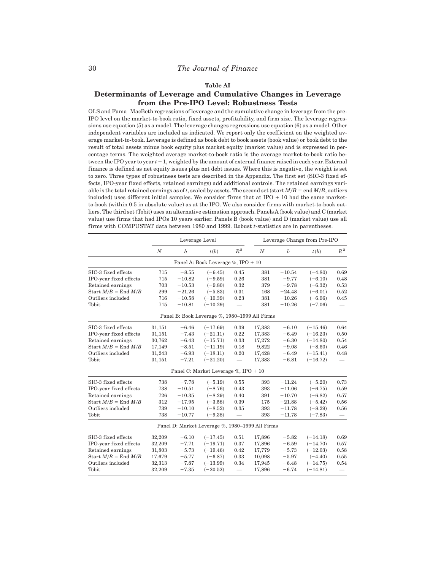#### **Table AI**

## **Determinants of Leverage and Cumulative Changes in Leverage from the Pre-IPO Level: Robustness Tests**

OLS and Fama–MacBeth regressions of leverage and the cumulative change in leverage from the pre-IPO level on the market-to-book ratio, fixed assets, profitability, and firm size. The leverage regressions use equation  $(5)$  as a model. The leverage changes regressions use equation  $(6)$  as a model. Other independent variables are included as indicated. We report only the coefficient on the weighted average market-to-book. Leverage is defined as book debt to book assets (book value) or book debt to the result of total assets minus book equity plus market equity (market value) and is expressed in percentage terms. The weighted average market-to-book ratio is the average market-to-book ratio between the IPO year to year  $t-1$ , weighted by the amount of external finance raised in each year. External finance is defined as net equity issues plus net debt issues. Where this is negative, the weight is set to zero. Three types of robustness tests are described in the Appendix. The first set (SIC-3 fixed effects, IPO-year fixed effects, retained earnings) add additional controls. The retained earnings variable is the total retained earnings as of *t*, scaled by assets. The second set  $(\text{start } M/B = \text{end } M/B$ , outliers included) uses different initial samples. We consider firms that at IPO  $+$  10 had the same market $to$ -book (within 0.5 in absolute value) as at the IPO. We also consider firms with market-to-book outliers. The third set (Tobit) uses an alternative estimation approach. Panels A (book value) and C (market value) use firms that had IPOs 10 years earlier. Panels B (book value) and D (market value) use all firms with COMPUSTAT data between 1980 and 1999. Robust *t*-statistics are in parentheses.

|                         |                  | Leverage Level   |                                                 |                          | Leverage Change from Pre-IPO |                  |            |                 |  |  |
|-------------------------|------------------|------------------|-------------------------------------------------|--------------------------|------------------------------|------------------|------------|-----------------|--|--|
|                         | $\boldsymbol{N}$ | $\boldsymbol{b}$ | t(b)                                            | $R^2$                    | $\boldsymbol{N}$             | $\boldsymbol{b}$ | t(b)       | $R^2$           |  |  |
|                         |                  |                  | Panel A: Book Leverage $\%$ , IPO + 10          |                          |                              |                  |            |                 |  |  |
| SIC-3 fixed effects     | 715              | $-8.55$          | $(-6.45)$                                       | 0.45                     | 381                          | $-10.54$         | $(-4.80)$  | 0.69            |  |  |
| IPO-year fixed effects  | 715              | $-10.82$         | $(-9.59)$                                       | 0.26                     | 381                          | $-9.77$          | $(-6.10)$  | 0.48            |  |  |
| Retained earnings       | 703              | $-10.53$         | $(-9.80)$                                       | 0.32                     | 379                          | $-9.78$          | $(-6.32)$  | 0.53            |  |  |
| Start $M/B =$ End $M/B$ | 299              | $-21.26$         | $(-5.83)$                                       | 0.31                     | 168                          | $-24.48$         | $(-6.01)$  | 0.52            |  |  |
| Outliers included       | 716              | $-10.58$         | $(-10.39)$                                      | 0.23                     | 381                          | $-10.26$         | $(-6.96)$  | 0.45            |  |  |
| Tobit                   | 715              | $-10.81$         | $(-10.29)$                                      | $\overline{\phantom{0}}$ | 381                          | $-10.26$         | $(-7.06)$  |                 |  |  |
|                         |                  |                  | Panel B: Book Leverage %, 1980-1999 All Firms   |                          |                              |                  |            |                 |  |  |
| SIC-3 fixed effects     | 31,151           | $-6.46$          | $(-17.69)$                                      | 0.39                     | 17,383                       | $-6.10$          | $(-15.46)$ | 0.64            |  |  |
| IPO-year fixed effects  | 31,151           | $-7.43$          | $(-21.11)$                                      | 0.22                     | 17,383                       | $-6.49$          | $(-16.23)$ | 0.50            |  |  |
| Retained earnings       | 30,762           | $-6.43$          | $(-15.71)$                                      | 0.33                     | 17,272                       | $-6.30$          | $(-14.80)$ | 0.54            |  |  |
| Start $M/B =$ End $M/B$ | 17,149           | $-8.51$          | $(-11.19)$                                      | 0.18                     | 9,822                        | $-9.08$          | $(-8.60)$  | 0.46            |  |  |
| Outliers included       | 31,243           | $-6.93$          | $(-18.11)$                                      | 0.20                     | 17,428                       | $-6.49$          | $(-15.41)$ | 0.48            |  |  |
| Tobit                   | 31,151           | $-7.21$          | $(-21.20)$                                      | $\overline{\phantom{0}}$ | 17,383                       | $-6.81$          | $(-16.72)$ | $\qquad \qquad$ |  |  |
|                         |                  |                  | Panel C: Market Leverage $\%$ , IPO + 10        |                          |                              |                  |            |                 |  |  |
| SIC-3 fixed effects     | 738              | $-7.78$          | $(-5.19)$                                       | 0.55                     | 393                          | $-11.24$         | $(-5.20)$  | 0.73            |  |  |
| IPO-year fixed effects  | 738              | $-10.51$         | $(-8.76)$                                       | 0.43                     | 393                          | $-11.06$         | $(-6.75)$  | 0.59            |  |  |
| Retained earnings       | 726              | $-10.35$         | $(-8.29)$                                       | 0.40                     | 391                          | $-10.70$         | $(-6.82)$  | 0.57            |  |  |
| Start $M/B =$ End $M/B$ | 312              | $-17.95$         | $(-3.58)$                                       | 0.39                     | 175                          | $-21.88$         | $(-5.42)$  | 0.56            |  |  |
| Outliers included       | 739              | $-10.10$         | $(-8.52)$                                       | 0.35                     | 393                          | $-11.78$         | $(-8.29)$  | 0.56            |  |  |
| Tobit                   | 738              | $-10.77$         | $(-9.38)$                                       | $\overline{\phantom{0}}$ | 393                          | $-11.78$         | $(-7.83)$  |                 |  |  |
|                         |                  |                  | Panel D: Market Leverage %, 1980-1999 All Firms |                          |                              |                  |            |                 |  |  |
| SIC-3 fixed effects     | 32,209           | $-6.10$          | $(-17.45)$                                      | 0.51                     | 17,896                       | $-5.82$          | $(-14.18)$ | 0.69            |  |  |
| IPO-year fixed effects  | 32,209           | $-7.71$          | $(-19.71)$                                      | 0.37                     | 17,896                       | $-6.59$          | $(-14.70)$ | 0.57            |  |  |
| Retained earnings       | 31,803           | $-5.73$          | $(-19.46)$                                      | 0.42                     | 17,779                       | $-5.73$          | $(-12.03)$ | 0.58            |  |  |
| Start $M/B =$ End $M/B$ | 17,679           | $-5.77$          | $(-6.87)$                                       | 0.33                     | 10,098                       | $-5.97$          | $(-4.40)$  | 0.55            |  |  |
| Outliers included       | 32,313           | $-7.87$          | $(-13.99)$                                      | 0.34                     | 17,945                       | $-6.48$          | $(-14.75)$ | 0.54            |  |  |
| Tobit                   | 32,209           | $-7.35$          | $(-20.52)$                                      |                          | 17,896                       | $-6.74$          | $(-14.81)$ |                 |  |  |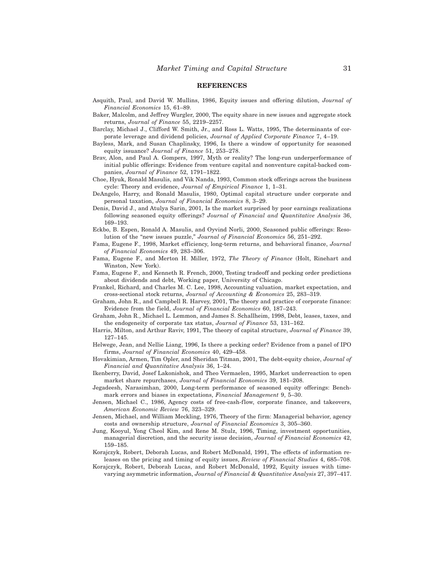#### **REFERENCES**

- Asquith, Paul, and David W. Mullins, 1986, Equity issues and offering dilution, *Journal of Financial Economics* 15, 61–89.
- Baker, Malcolm, and Jeffrey Wurgler, 2000, The equity share in new issues and aggregate stock returns, *Journal of Finance* 55, 2219–2257.
- Barclay, Michael J., Clifford W. Smith, Jr., and Ross L. Watts, 1995, The determinants of corporate leverage and dividend policies, *Journal of Applied Corporate Finance* 7, 4–19.
- Bayless, Mark, and Susan Chaplinsky, 1996, Is there a window of opportunity for seasoned equity issuance? *Journal of Finance* 51, 253–278.
- Brav, Alon, and Paul A. Gompers, 1997, Myth or reality? The long-run underperformance of initial public offerings: Evidence from venture capital and nonventure capital-backed companies, *Journal of Finance* 52, 1791–1822.
- Choe, Hyuk, Ronald Masulis, and Vik Nanda, 1993, Common stock offerings across the business cycle: Theory and evidence, *Journal of Empirical Finance* 1, 1–31.
- DeAngelo, Harry, and Ronald Masulis, 1980, Optimal capital structure under corporate and personal taxation, *Journal of Financial Economics* 8, 3–29.
- Denis, David J., and Atulya Sarin, 2001, Is the market surprised by poor earnings realizations following seasoned equity offerings? *Journal of Financial and Quantitative Analysis* 36, 169–193.
- Eckbo, B. Espen, Ronald A. Masulis, and Oyvind Norli, 2000, Seasoned public offerings: Resolution of the "new issues puzzle," *Journal of Financial Economics* 56, 251–292.
- Fama, Eugene F., 1998, Market efficiency, long-term returns, and behavioral finance, *Journal of Financial Economics* 49, 283–306.
- Fama, Eugene F., and Merton H. Miller, 1972, *The Theory of Finance* (Holt, Rinehart and Winston, New York).
- Fama, Eugene F., and Kenneth R. French, 2000, Testing tradeoff and pecking order predictions about dividends and debt, Working paper, University of Chicago.
- Frankel, Richard, and Charles M. C. Lee, 1998, Accounting valuation, market expectation, and cross-sectional stock returns, *Journal of Accounting & Economics* 25, 283–319.
- Graham, John R., and Campbell R. Harvey, 2001, The theory and practice of corporate finance: Evidence from the field, *Journal of Financial Economics* 60, 187–243.
- Graham, John R., Michael L. Lemmon, and James S. Schallheim, 1998, Debt, leases, taxes, and the endogeneity of corporate tax status, *Journal of Finance* 53, 131–162.
- Harris, Milton, and Arthur Raviv, 1991, The theory of capital structure, *Journal of Finance* 39, 127–145.
- Helwege, Jean, and Nellie Liang, 1996, Is there a pecking order? Evidence from a panel of IPO firms, *Journal of Financial Economics* 40, 429–458.
- Hovakimian, Armen, Tim Opler, and Sheridan Titman, 2001, The debt-equity choice, *Journal of Financial and Quantitative Analysis* 36, 1–24.
- Ikenberry, David, Josef Lakonishok, and Theo Vermaelen, 1995, Market underreaction to open market share repurchases, *Journal of Financial Economics* 39, 181–208.
- Jegadeesh, Narasimhan, 2000, Long-term performance of seasoned equity offerings: Benchmark errors and biases in expectations, *Financial Management* 9, 5–30.
- Jensen, Michael C., 1986, Agency costs of free-cash-flow, corporate finance, and takeovers, *American Economic Review* 76, 323–329.
- Jensen, Michael, and William Meckling, 1976, Theory of the firm: Managerial behavior, agency costs and ownership structure, *Journal of Financial Economics* 3, 305–360.
- Jung, Kooyul, Yong Cheol Kim, and Rene M. Stulz, 1996, Timing, investment opportunities, managerial discretion, and the security issue decision, *Journal of Financial Economics* 42, 159–185.
- Korajczyk, Robert, Deborah Lucas, and Robert McDonald, 1991, The effects of information releases on the pricing and timing of equity issues, *Review of Financial Studies* 4, 685–708.
- Korajczyk, Robert, Deborah Lucas, and Robert McDonald, 1992, Equity issues with timevarying asymmetric information, *Journal of Financial & Quantitative Analysis* 27, 397–417.